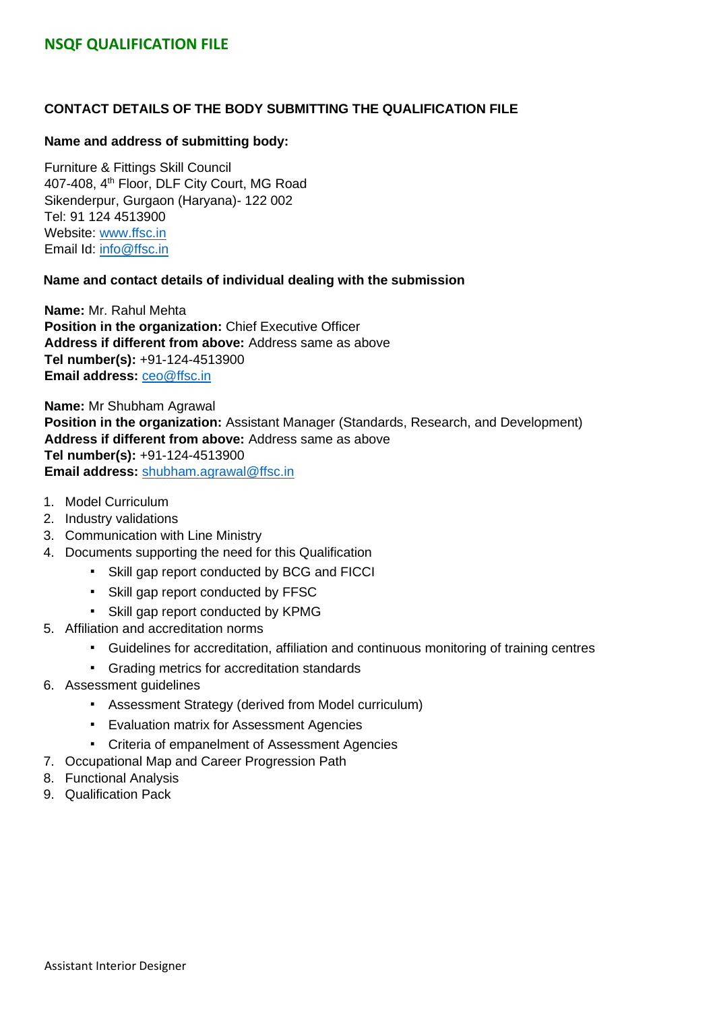#### **CONTACT DETAILS OF THE BODY SUBMITTING THE QUALIFICATION FILE**

#### **Name and address of submitting body:**

Furniture & Fittings Skill Council 407-408, 4<sup>th</sup> Floor, DLF City Court, MG Road Sikenderpur, Gurgaon (Haryana)- 122 002 Tel: 91 124 4513900 Website: [www.ffsc.in](http://www.ffsc.in/) Email Id: [info@ffsc.in](mailto:info@ffsc.in)

#### **Name and contact details of individual dealing with the submission**

**Name:** Mr. Rahul Mehta **Position in the organization:** Chief Executive Officer **Address if different from above:** Address same as above **Tel number(s):** +91-124-4513900 **Email address:** [ceo@ffsc.in](mailto:ceo@ffsc.in)

**Name:** Mr Shubham Agrawal **Position in the organization:** Assistant Manager (Standards, Research, and Development) **Address if different from above:** Address same as above **Tel number(s):** +91-124-4513900 **Email address:** shubham.agrawal@ffsc.in

- 1. Model Curriculum
- 2. Industry validations
- 3. Communication with Line Ministry
- 4. Documents supporting the need for this Qualification
	- Skill gap report conducted by BCG and FICCI
	- Skill gap report conducted by FFSC
	- Skill gap report conducted by KPMG
- 5. Affiliation and accreditation norms
	- Guidelines for accreditation, affiliation and continuous monitoring of training centres
	- Grading metrics for accreditation standards
- 6. Assessment guidelines
	- Assessment Strategy (derived from Model curriculum)
	- Evaluation matrix for Assessment Agencies
	- Criteria of empanelment of Assessment Agencies
- 7. Occupational Map and Career Progression Path
- 8. Functional Analysis
- 9. Qualification Pack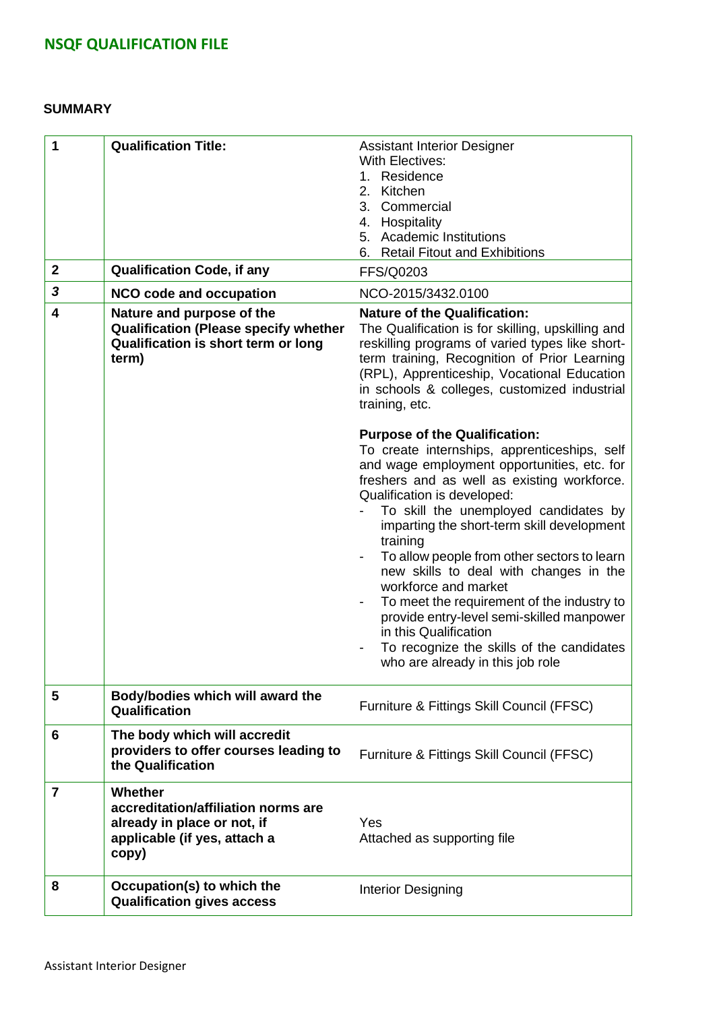#### **SUMMARY**

| 1               | <b>Qualification Title:</b>                                                                                               | <b>Assistant Interior Designer</b><br><b>With Electives:</b><br>Residence<br>1.<br>Kitchen<br>2.<br>3.<br>Commercial<br>4. Hospitality<br>5. Academic Institutions<br>6. Retail Fitout and Exhibitions                                                                                                                                                                                                                                                                                                                                                                                                                                                                                                                                                                                                                                           |
|-----------------|---------------------------------------------------------------------------------------------------------------------------|--------------------------------------------------------------------------------------------------------------------------------------------------------------------------------------------------------------------------------------------------------------------------------------------------------------------------------------------------------------------------------------------------------------------------------------------------------------------------------------------------------------------------------------------------------------------------------------------------------------------------------------------------------------------------------------------------------------------------------------------------------------------------------------------------------------------------------------------------|
| $\mathbf{2}$    | <b>Qualification Code, if any</b>                                                                                         | <b>FFS/Q0203</b>                                                                                                                                                                                                                                                                                                                                                                                                                                                                                                                                                                                                                                                                                                                                                                                                                                 |
| 3               | <b>NCO code and occupation</b>                                                                                            | NCO-2015/3432.0100                                                                                                                                                                                                                                                                                                                                                                                                                                                                                                                                                                                                                                                                                                                                                                                                                               |
| 4               | Nature and purpose of the<br><b>Qualification (Please specify whether</b><br>Qualification is short term or long<br>term) | <b>Nature of the Qualification:</b><br>The Qualification is for skilling, upskilling and<br>reskilling programs of varied types like short-<br>term training, Recognition of Prior Learning<br>(RPL), Apprenticeship, Vocational Education<br>in schools & colleges, customized industrial<br>training, etc.<br><b>Purpose of the Qualification:</b><br>To create internships, apprenticeships, self<br>and wage employment opportunities, etc. for<br>freshers and as well as existing workforce.<br>Qualification is developed:<br>To skill the unemployed candidates by<br>imparting the short-term skill development<br>training<br>To allow people from other sectors to learn<br>new skills to deal with changes in the<br>workforce and market<br>To meet the requirement of the industry to<br>provide entry-level semi-skilled manpower |
|                 |                                                                                                                           | in this Qualification<br>To recognize the skills of the candidates<br>who are already in this job role                                                                                                                                                                                                                                                                                                                                                                                                                                                                                                                                                                                                                                                                                                                                           |
|                 |                                                                                                                           |                                                                                                                                                                                                                                                                                                                                                                                                                                                                                                                                                                                                                                                                                                                                                                                                                                                  |
| $5\phantom{.0}$ | Body/bodies which will award the<br>Qualification                                                                         | Furniture & Fittings Skill Council (FFSC)                                                                                                                                                                                                                                                                                                                                                                                                                                                                                                                                                                                                                                                                                                                                                                                                        |
| 6               | The body which will accredit<br>providers to offer courses leading to<br>the Qualification                                | Furniture & Fittings Skill Council (FFSC)                                                                                                                                                                                                                                                                                                                                                                                                                                                                                                                                                                                                                                                                                                                                                                                                        |
| 7               | Whether<br>accreditation/affiliation norms are<br>already in place or not, if<br>applicable (if yes, attach a<br>copy)    | Yes<br>Attached as supporting file                                                                                                                                                                                                                                                                                                                                                                                                                                                                                                                                                                                                                                                                                                                                                                                                               |
| 8               | Occupation(s) to which the<br><b>Qualification gives access</b>                                                           | Interior Designing                                                                                                                                                                                                                                                                                                                                                                                                                                                                                                                                                                                                                                                                                                                                                                                                                               |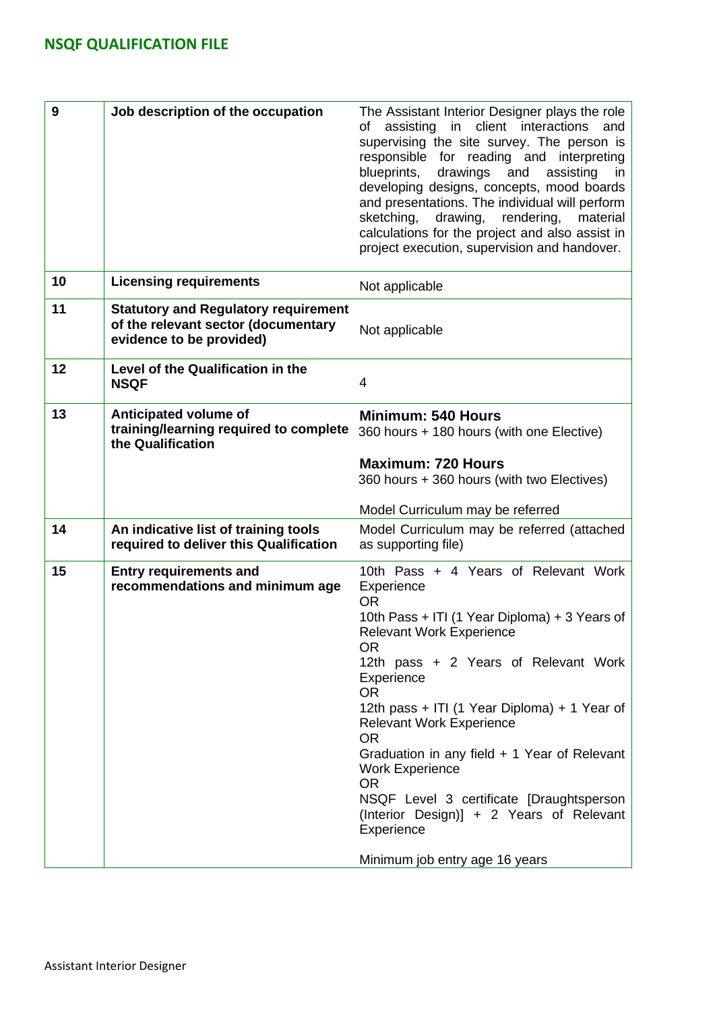| 9  | Job description of the occupation                                                                              | The Assistant Interior Designer plays the role<br>in client interactions<br>of assisting<br>and<br>supervising the site survey. The person is<br>responsible for reading and interpreting<br>blueprints,<br>drawings<br>and<br>assisting<br>in<br>developing designs, concepts, mood boards<br>and presentations. The individual will perform<br>sketching,<br>drawing,<br>rendering,<br>material                                                                                                                                                                  |
|----|----------------------------------------------------------------------------------------------------------------|--------------------------------------------------------------------------------------------------------------------------------------------------------------------------------------------------------------------------------------------------------------------------------------------------------------------------------------------------------------------------------------------------------------------------------------------------------------------------------------------------------------------------------------------------------------------|
|    |                                                                                                                | calculations for the project and also assist in<br>project execution, supervision and handover.                                                                                                                                                                                                                                                                                                                                                                                                                                                                    |
| 10 | <b>Licensing requirements</b>                                                                                  | Not applicable                                                                                                                                                                                                                                                                                                                                                                                                                                                                                                                                                     |
| 11 | <b>Statutory and Regulatory requirement</b><br>of the relevant sector (documentary<br>evidence to be provided) | Not applicable                                                                                                                                                                                                                                                                                                                                                                                                                                                                                                                                                     |
| 12 | Level of the Qualification in the<br><b>NSQF</b>                                                               | $\overline{4}$                                                                                                                                                                                                                                                                                                                                                                                                                                                                                                                                                     |
| 13 | Anticipated volume of<br>training/learning required to complete<br>the Qualification                           | <b>Minimum: 540 Hours</b><br>360 hours + 180 hours (with one Elective)                                                                                                                                                                                                                                                                                                                                                                                                                                                                                             |
|    |                                                                                                                | <b>Maximum: 720 Hours</b><br>360 hours + 360 hours (with two Electives)                                                                                                                                                                                                                                                                                                                                                                                                                                                                                            |
|    |                                                                                                                | Model Curriculum may be referred                                                                                                                                                                                                                                                                                                                                                                                                                                                                                                                                   |
| 14 | An indicative list of training tools<br>required to deliver this Qualification                                 | Model Curriculum may be referred (attached<br>as supporting file)                                                                                                                                                                                                                                                                                                                                                                                                                                                                                                  |
| 15 | <b>Entry requirements and</b><br>recommendations and minimum age                                               | 10th Pass + 4 Years of Relevant Work<br>Experience<br><b>OR</b><br>10th Pass + ITI (1 Year Diploma) + 3 Years of<br><b>Relevant Work Experience</b><br><b>OR</b><br>12th pass + 2 Years of Relevant Work<br>Experience<br><b>OR</b><br>12th pass + ITI (1 Year Diploma) + 1 Year of<br><b>Relevant Work Experience</b><br><b>OR</b><br>Graduation in any field + 1 Year of Relevant<br><b>Work Experience</b><br><b>OR</b><br>NSQF Level 3 certificate [Draughtsperson<br>(Interior Design)] + 2 Years of Relevant<br>Experience<br>Minimum job entry age 16 years |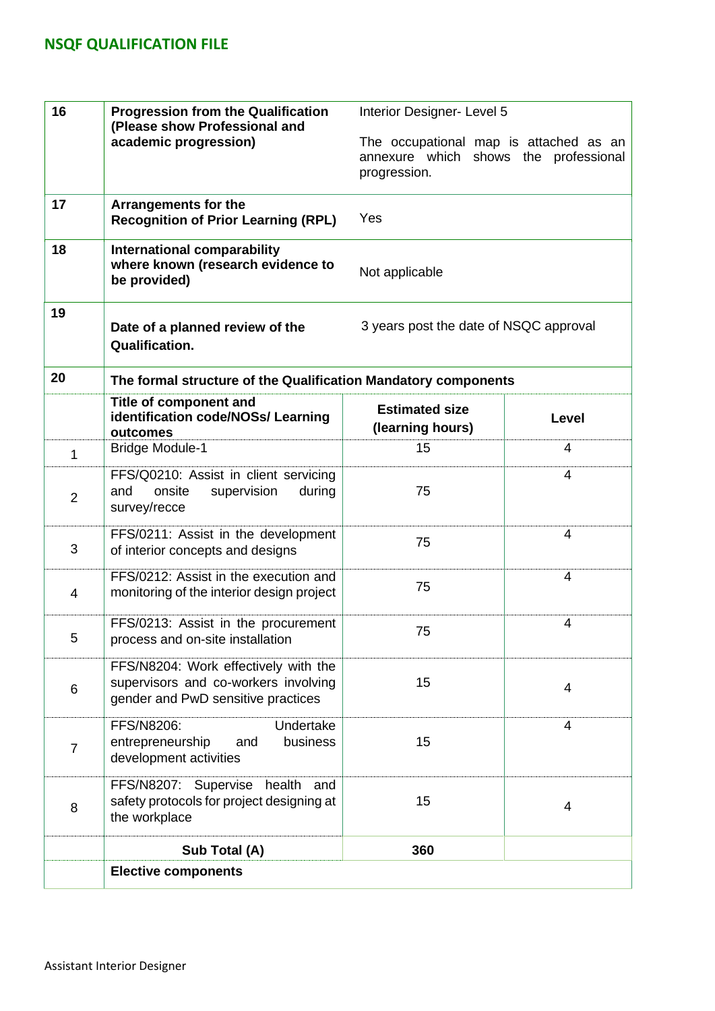| 16             | <b>Progression from the Qualification</b><br>(Please show Professional and                                         | Interior Designer- Level 5                                                                      |                |  |
|----------------|--------------------------------------------------------------------------------------------------------------------|-------------------------------------------------------------------------------------------------|----------------|--|
|                | academic progression)                                                                                              | The occupational map is attached as an<br>annexure which shows the professional<br>progression. |                |  |
| 17             | <b>Arrangements for the</b><br><b>Recognition of Prior Learning (RPL)</b>                                          | Yes                                                                                             |                |  |
| 18             | <b>International comparability</b><br>where known (research evidence to<br>be provided)                            | Not applicable                                                                                  |                |  |
| 19             | Date of a planned review of the<br><b>Qualification.</b>                                                           | 3 years post the date of NSQC approval                                                          |                |  |
| 20             | The formal structure of the Qualification Mandatory components                                                     |                                                                                                 |                |  |
|                | Title of component and<br>identification code/NOSs/ Learning<br>outcomes                                           | <b>Estimated size</b><br>(learning hours)                                                       | <b>Level</b>   |  |
| 1              | <b>Bridge Module-1</b>                                                                                             | 15                                                                                              | 4              |  |
| $\overline{2}$ | FFS/Q0210: Assist in client servicing<br>and<br>onsite<br>supervision<br>during<br>survey/recce                    | 75                                                                                              | 4              |  |
| 3              | FFS/0211: Assist in the development<br>of interior concepts and designs                                            | 75                                                                                              | 4              |  |
| 4              | FFS/0212: Assist in the execution and<br>monitoring of the interior design project                                 | 75                                                                                              | 4              |  |
| 5              | FFS/0213: Assist in the procurement<br>process and on-site installation                                            | 75                                                                                              | 4              |  |
| 6              | FFS/N8204: Work effectively with the<br>supervisors and co-workers involving<br>gender and PwD sensitive practices | 15                                                                                              | 4              |  |
| $\overline{7}$ | Undertake<br>FFS/N8206:<br>entrepreneurship<br>business<br>and<br>development activities                           | 15                                                                                              | 4              |  |
| 8              | FFS/N8207: Supervise health and<br>safety protocols for project designing at<br>the workplace                      | 15                                                                                              | $\overline{4}$ |  |
|                | Sub Total (A)                                                                                                      | 360                                                                                             |                |  |
|                | <b>Elective components</b>                                                                                         |                                                                                                 |                |  |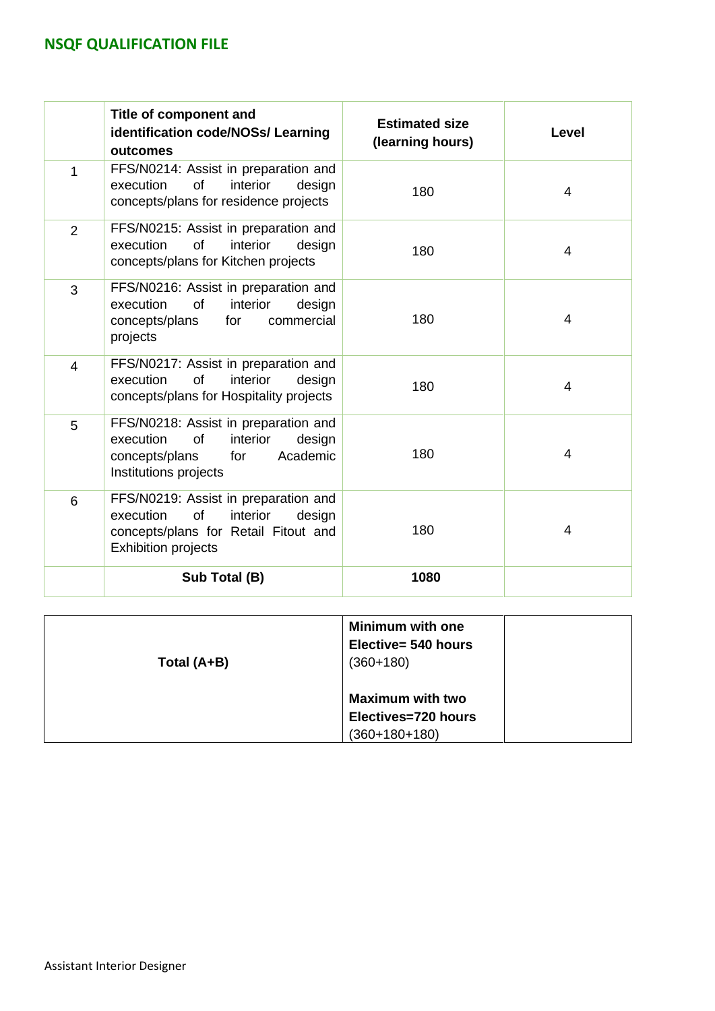|                | Title of component and<br>identification code/NOSs/ Learning<br>outcomes                                                                            | <b>Estimated size</b><br>(learning hours) | <b>Level</b>   |
|----------------|-----------------------------------------------------------------------------------------------------------------------------------------------------|-------------------------------------------|----------------|
| 1              | FFS/N0214: Assist in preparation and<br>execution<br>of<br>interior<br>design<br>concepts/plans for residence projects                              | 180                                       | 4              |
| $\overline{2}$ | FFS/N0215: Assist in preparation and<br>interior<br><b>of</b><br>execution<br>design<br>concepts/plans for Kitchen projects                         | 180                                       | 4              |
| 3              | FFS/N0216: Assist in preparation and<br>of<br>interior<br>execution<br>design<br>concepts/plans<br>commercial<br>for<br>projects                    | 180                                       | 4              |
| $\overline{4}$ | FFS/N0217: Assist in preparation and<br>execution<br>of<br>interior<br>design<br>concepts/plans for Hospitality projects                            | 180                                       | $\overline{4}$ |
| 5              | FFS/N0218: Assist in preparation and<br>execution<br><b>of</b><br>interior<br>design<br>Academic<br>concepts/plans<br>for<br>Institutions projects  | 180                                       | 4              |
| 6              | FFS/N0219: Assist in preparation and<br>of<br>interior<br>execution<br>design<br>concepts/plans for Retail Fitout and<br><b>Exhibition projects</b> | 180                                       | 4              |
|                | Sub Total (B)                                                                                                                                       | 1080                                      |                |

| Total (A+B) | <b>Minimum with one</b><br>Elective= 540 hours<br>$(360+180)$     |  |  |  |
|-------------|-------------------------------------------------------------------|--|--|--|
|             | <b>Maximum with two</b><br>Electives=720 hours<br>$(360+180+180)$ |  |  |  |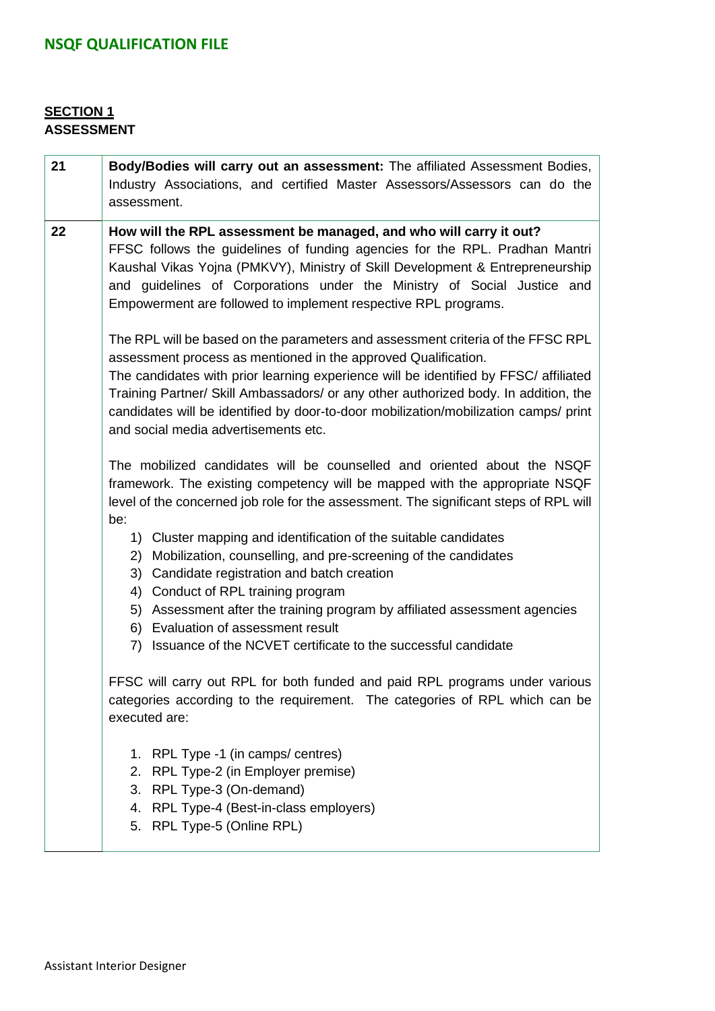### **SECTION 1 ASSESSMENT**

| 21 | Body/Bodies will carry out an assessment: The affiliated Assessment Bodies,<br>Industry Associations, and certified Master Assessors/Assessors can do the<br>assessment.                                                                                                                                                                                                                                                                                         |  |  |  |  |  |
|----|------------------------------------------------------------------------------------------------------------------------------------------------------------------------------------------------------------------------------------------------------------------------------------------------------------------------------------------------------------------------------------------------------------------------------------------------------------------|--|--|--|--|--|
| 22 | How will the RPL assessment be managed, and who will carry it out?<br>FFSC follows the guidelines of funding agencies for the RPL. Pradhan Mantri<br>Kaushal Vikas Yojna (PMKVY), Ministry of Skill Development & Entrepreneurship<br>and guidelines of Corporations under the Ministry of Social Justice and<br>Empowerment are followed to implement respective RPL programs.                                                                                  |  |  |  |  |  |
|    | The RPL will be based on the parameters and assessment criteria of the FFSC RPL<br>assessment process as mentioned in the approved Qualification.<br>The candidates with prior learning experience will be identified by FFSC/ affiliated<br>Training Partner/ Skill Ambassadors/ or any other authorized body. In addition, the<br>candidates will be identified by door-to-door mobilization/mobilization camps/ print<br>and social media advertisements etc. |  |  |  |  |  |
|    | The mobilized candidates will be counselled and oriented about the NSQF<br>framework. The existing competency will be mapped with the appropriate NSQF<br>level of the concerned job role for the assessment. The significant steps of RPL will<br>be:                                                                                                                                                                                                           |  |  |  |  |  |
|    | 1) Cluster mapping and identification of the suitable candidates<br>2) Mobilization, counselling, and pre-screening of the candidates<br>3) Candidate registration and batch creation<br>Conduct of RPL training program<br>4)                                                                                                                                                                                                                                   |  |  |  |  |  |
|    | Assessment after the training program by affiliated assessment agencies<br>5)<br>6) Evaluation of assessment result<br>7) Issuance of the NCVET certificate to the successful candidate                                                                                                                                                                                                                                                                          |  |  |  |  |  |
|    | FFSC will carry out RPL for both funded and paid RPL programs under various<br>categories according to the requirement. The categories of RPL which can be<br>executed are:                                                                                                                                                                                                                                                                                      |  |  |  |  |  |
|    | 1. RPL Type -1 (in camps/ centres)<br>2. RPL Type-2 (in Employer premise)<br>3. RPL Type-3 (On-demand)<br>4. RPL Type-4 (Best-in-class employers)<br>5. RPL Type-5 (Online RPL)                                                                                                                                                                                                                                                                                  |  |  |  |  |  |
|    |                                                                                                                                                                                                                                                                                                                                                                                                                                                                  |  |  |  |  |  |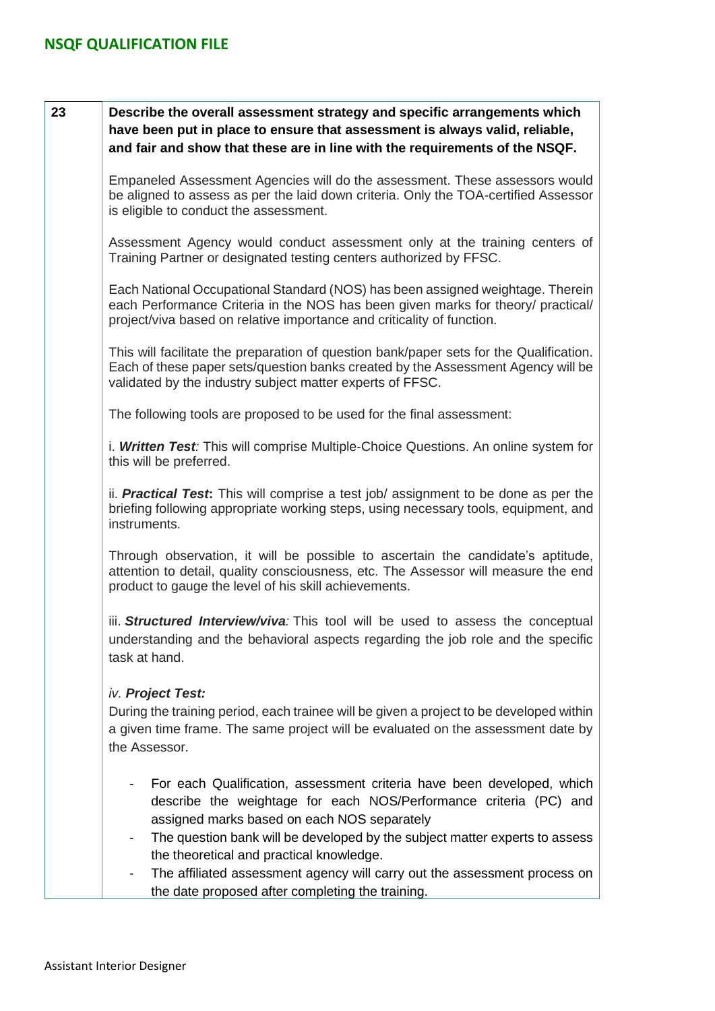| 23 | Describe the overall assessment strategy and specific arrangements which<br>have been put in place to ensure that assessment is always valid, reliable,<br>and fair and show that these are in line with the requirements of the NSQF.                                                                                                                                                             |
|----|----------------------------------------------------------------------------------------------------------------------------------------------------------------------------------------------------------------------------------------------------------------------------------------------------------------------------------------------------------------------------------------------------|
|    | Empaneled Assessment Agencies will do the assessment. These assessors would<br>be aligned to assess as per the laid down criteria. Only the TOA-certified Assessor<br>is eligible to conduct the assessment.                                                                                                                                                                                       |
|    | Assessment Agency would conduct assessment only at the training centers of<br>Training Partner or designated testing centers authorized by FFSC.                                                                                                                                                                                                                                                   |
|    | Each National Occupational Standard (NOS) has been assigned weightage. Therein<br>each Performance Criteria in the NOS has been given marks for theory/ practical/<br>project/viva based on relative importance and criticality of function.                                                                                                                                                       |
|    | This will facilitate the preparation of question bank/paper sets for the Qualification.<br>Each of these paper sets/question banks created by the Assessment Agency will be<br>validated by the industry subject matter experts of FFSC.                                                                                                                                                           |
|    | The following tools are proposed to be used for the final assessment:                                                                                                                                                                                                                                                                                                                              |
|    | i. Written Test: This will comprise Multiple-Choice Questions. An online system for<br>this will be preferred.                                                                                                                                                                                                                                                                                     |
|    | ii. <b>Practical Test:</b> This will comprise a test job/ assignment to be done as per the<br>briefing following appropriate working steps, using necessary tools, equipment, and<br>instruments.                                                                                                                                                                                                  |
|    | Through observation, it will be possible to ascertain the candidate's aptitude,<br>attention to detail, quality consciousness, etc. The Assessor will measure the end<br>product to gauge the level of his skill achievements.                                                                                                                                                                     |
|    | iii. Structured Interview/viva: This tool will be used to assess the conceptual<br>understanding and the behavioral aspects regarding the job role and the specific<br>task at hand.                                                                                                                                                                                                               |
|    | iv. Project Test:<br>During the training period, each trainee will be given a project to be developed within<br>a given time frame. The same project will be evaluated on the assessment date by<br>the Assessor.                                                                                                                                                                                  |
|    | For each Qualification, assessment criteria have been developed, which<br>describe the weightage for each NOS/Performance criteria (PC) and<br>assigned marks based on each NOS separately<br>The question bank will be developed by the subject matter experts to assess<br>the theoretical and practical knowledge.<br>The affiliated assessment agency will carry out the assessment process on |
|    | the date proposed after completing the training.                                                                                                                                                                                                                                                                                                                                                   |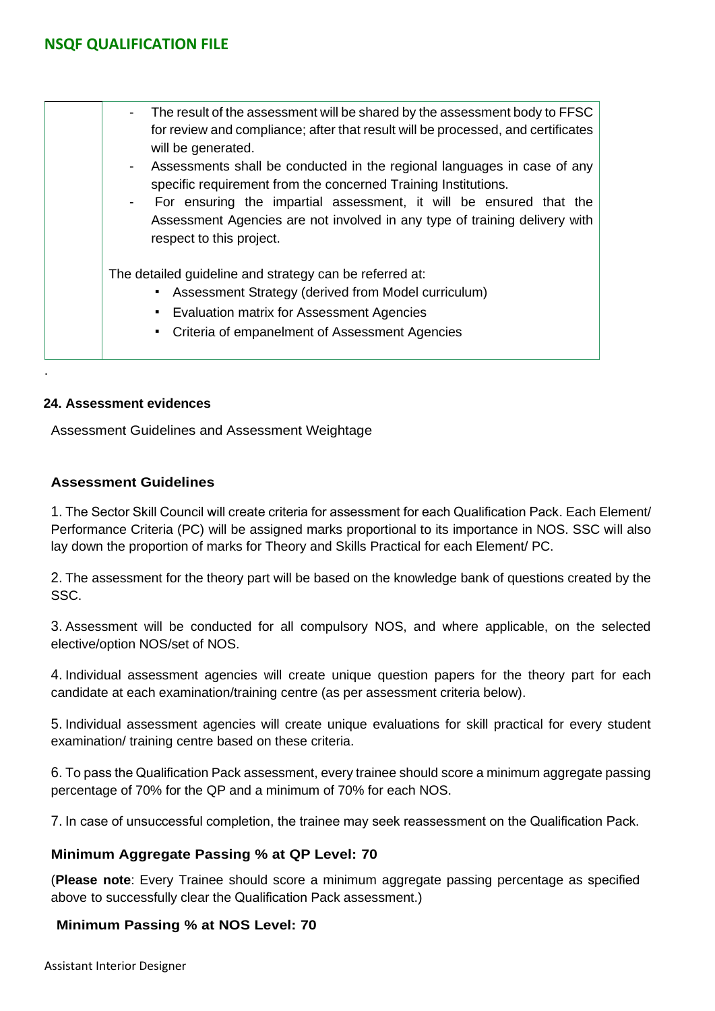| The result of the assessment will be shared by the assessment body to FFSC<br>$\sim$<br>for review and compliance; after that result will be processed, and certificates<br>will be generated.<br>Assessments shall be conducted in the regional languages in case of any<br>$\overline{\phantom{0}}$<br>specific requirement from the concerned Training Institutions.<br>For ensuring the impartial assessment, it will be ensured that the<br>$\blacksquare$<br>Assessment Agencies are not involved in any type of training delivery with<br>respect to this project. |
|---------------------------------------------------------------------------------------------------------------------------------------------------------------------------------------------------------------------------------------------------------------------------------------------------------------------------------------------------------------------------------------------------------------------------------------------------------------------------------------------------------------------------------------------------------------------------|
| The detailed guideline and strategy can be referred at:<br>Assessment Strategy (derived from Model curriculum)<br>$\blacksquare$<br>• Evaluation matrix for Assessment Agencies<br>• Criteria of empanelment of Assessment Agencies                                                                                                                                                                                                                                                                                                                                       |

#### **24. Assessment evidences**

.

Assessment Guidelines and Assessment Weightage

#### **Assessment Guidelines**

1. The Sector Skill Council will create criteria for assessment for each Qualification Pack. Each Element/ Performance Criteria (PC) will be assigned marks proportional to its importance in NOS. SSC will also lay down the proportion of marks for Theory and Skills Practical for each Element/ PC.

2. The assessment for the theory part will be based on the knowledge bank of questions created by the SSC.

3. Assessment will be conducted for all compulsory NOS, and where applicable, on the selected elective/option NOS/set of NOS.

4. Individual assessment agencies will create unique question papers for the theory part for each candidate at each examination/training centre (as per assessment criteria below).

5. Individual assessment agencies will create unique evaluations for skill practical for every student examination/ training centre based on these criteria.

6. To pass the Qualification Pack assessment, every trainee should score a minimum aggregate passing percentage of 70% for the QP and a minimum of 70% for each NOS.

7. In case of unsuccessful completion, the trainee may seek reassessment on the Qualification Pack.

#### **Minimum Aggregate Passing % at QP Level: 70**

(**Please note**: Every Trainee should score a minimum aggregate passing percentage as specified above to successfully clear the Qualification Pack assessment.)

#### **Minimum Passing % at NOS Level: 70**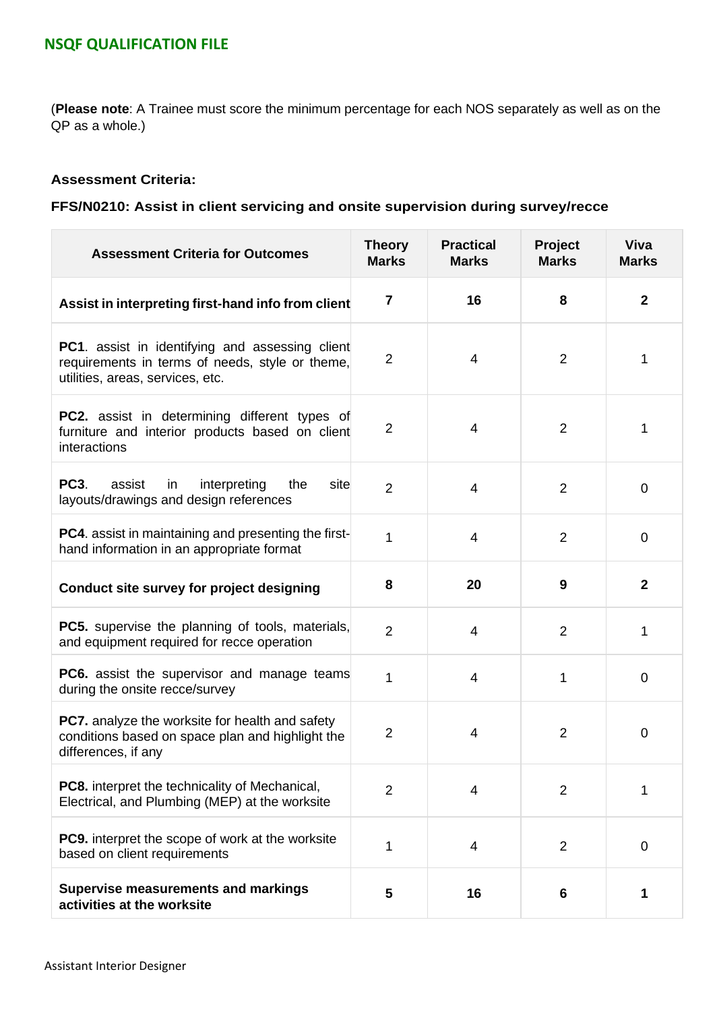(**Please note**: A Trainee must score the minimum percentage for each NOS separately as well as on the QP as a whole.)

#### **Assessment Criteria:**

### **FFS/N0210: Assist in client servicing and onsite supervision during survey/recce**

| <b>Assessment Criteria for Outcomes</b>                                                                                                       | <b>Theory</b><br><b>Marks</b> | <b>Practical</b><br><b>Marks</b> | Project<br><b>Marks</b> | <b>Viva</b><br><b>Marks</b> |
|-----------------------------------------------------------------------------------------------------------------------------------------------|-------------------------------|----------------------------------|-------------------------|-----------------------------|
| Assist in interpreting first-hand info from client                                                                                            | $\overline{7}$                | 16                               | 8                       | $\mathbf{2}$                |
| <b>PC1.</b> assist in identifying and assessing client<br>requirements in terms of needs, style or theme,<br>utilities, areas, services, etc. | $\overline{2}$                | 4                                | $\overline{2}$          | 1                           |
| <b>PC2.</b> assist in determining different types of<br>furniture and interior products based on client<br>interactions                       | $\overline{2}$                | 4                                | $\overline{2}$          | 1                           |
| <b>PC3.</b><br>assist<br>interpreting<br>the<br>site<br>in.<br>layouts/drawings and design references                                         | $\overline{2}$                | 4                                | $\overline{2}$          | 0                           |
| <b>PC4.</b> assist in maintaining and presenting the first-<br>hand information in an appropriate format                                      | 1                             | 4                                | $\overline{2}$          | 0                           |
| Conduct site survey for project designing                                                                                                     | 8                             | 20                               | 9                       | $\mathbf{2}$                |
| <b>PC5.</b> supervise the planning of tools, materials,<br>and equipment required for recce operation                                         | $\overline{2}$                | 4                                | $\overline{2}$          | 1                           |
| <b>PC6.</b> assist the supervisor and manage teams<br>during the onsite recce/survey                                                          | 1                             | 4                                | 1                       | 0                           |
| PC7. analyze the worksite for health and safety<br>conditions based on space plan and highlight the<br>differences, if any                    | $\overline{2}$                | 4                                | $\overline{2}$          | $\pmb{0}$                   |
| <b>PC8.</b> interpret the technicality of Mechanical,<br>Electrical, and Plumbing (MEP) at the worksite                                       | $\overline{2}$                | 4                                | $\overline{2}$          | 1                           |
| <b>PC9.</b> interpret the scope of work at the worksite<br>based on client requirements                                                       | 1                             | 4                                | $\overline{2}$          | $\mathbf 0$                 |
| <b>Supervise measurements and markings</b><br>activities at the worksite                                                                      | 5                             | 16                               | 6                       | 1                           |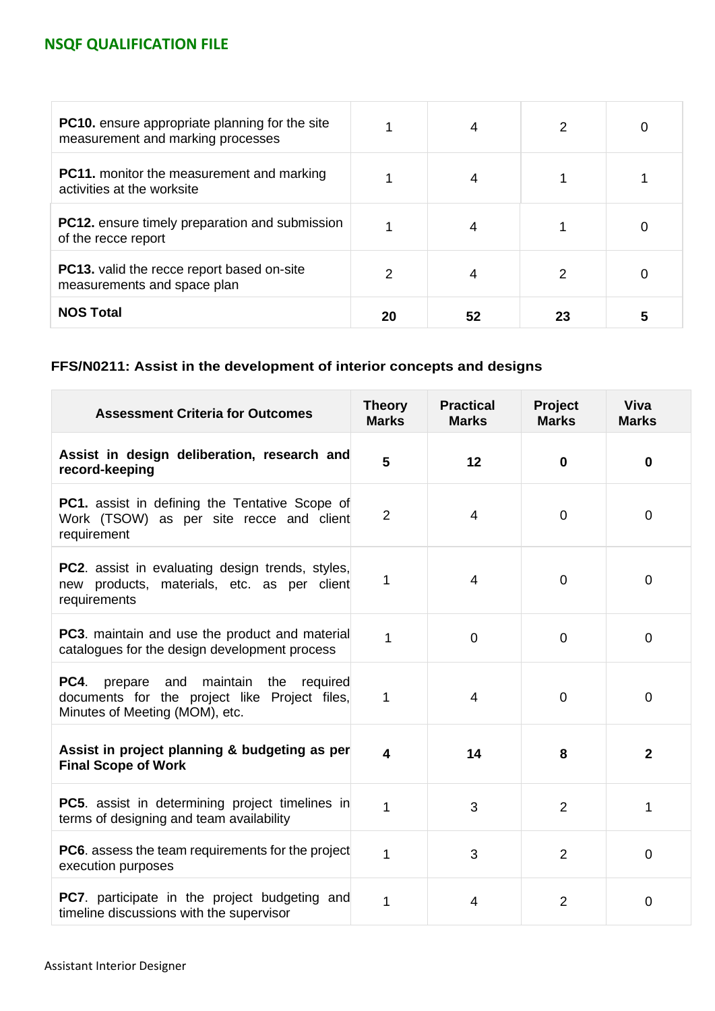| <b>PC10.</b> ensure appropriate planning for the site<br>measurement and marking processes |    |    |    |  |
|--------------------------------------------------------------------------------------------|----|----|----|--|
| <b>PC11.</b> monitor the measurement and marking<br>activities at the worksite             |    |    |    |  |
| <b>PC12.</b> ensure timely preparation and submission<br>of the recce report               |    |    |    |  |
| <b>PC13.</b> valid the recce report based on-site<br>measurements and space plan           | 2  |    | 2  |  |
| <b>NOS Total</b>                                                                           | 20 | 52 | 23 |  |

## **FFS/N0211: Assist in the development of interior concepts and designs**

| <b>Assessment Criteria for Outcomes</b>                                                                                             | <b>Theory</b><br><b>Marks</b> | <b>Practical</b><br><b>Marks</b> | Project<br><b>Marks</b> | <b>Viva</b><br><b>Marks</b> |
|-------------------------------------------------------------------------------------------------------------------------------------|-------------------------------|----------------------------------|-------------------------|-----------------------------|
| Assist in design deliberation, research and<br>record-keeping                                                                       | 5                             | 12                               | $\mathbf{0}$            | $\bf{0}$                    |
| <b>PC1.</b> assist in defining the Tentative Scope of<br>Work (TSOW) as per site recce and client<br>requirement                    | $\overline{2}$                | 4                                | $\overline{0}$          | $\mathbf 0$                 |
| <b>PC2.</b> assist in evaluating design trends, styles,<br>new products, materials, etc. as per client<br>requirements              | 1                             | $\overline{4}$                   | $\overline{0}$          | $\mathbf 0$                 |
| <b>PC3.</b> maintain and use the product and material<br>catalogues for the design development process                              | 1                             | $\overline{0}$                   | $\overline{0}$          | $\overline{0}$              |
| <b>PC4.</b><br>prepare and maintain the required<br>documents for the project like Project files,<br>Minutes of Meeting (MOM), etc. | 1                             | $\overline{4}$                   | $\Omega$                | $\mathbf 0$                 |
| Assist in project planning & budgeting as per<br><b>Final Scope of Work</b>                                                         | 4                             | 14                               | 8                       | $\overline{2}$              |
| PC5. assist in determining project timelines in<br>terms of designing and team availability                                         | 1                             | 3                                | $\overline{2}$          | 1                           |
| <b>PC6.</b> assess the team requirements for the project<br>execution purposes                                                      | 1                             | 3                                | 2                       | $\Omega$                    |
| <b>PC7.</b> participate in the project budgeting and<br>timeline discussions with the supervisor                                    | 1                             | 4                                | $\overline{2}$          | $\mathbf 0$                 |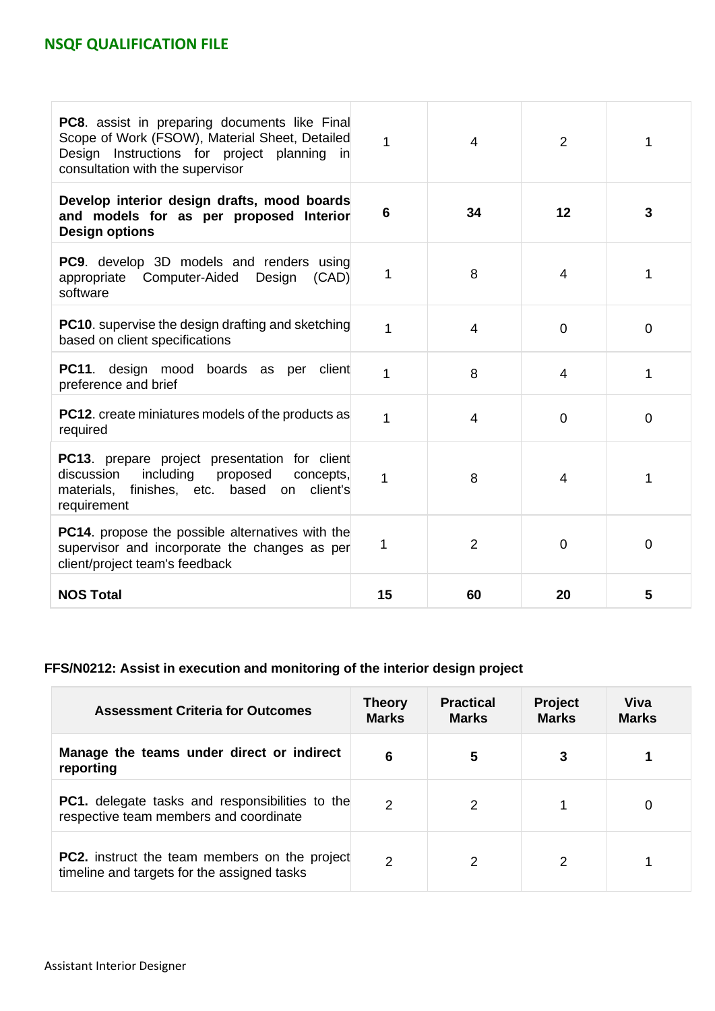| <b>PC8.</b> assist in preparing documents like Final<br>Scope of Work (FSOW), Material Sheet, Detailed<br>Design Instructions for project planning<br>in<br>consultation with the supervisor | 1  | 4              | $\overline{2}$ | 1        |
|----------------------------------------------------------------------------------------------------------------------------------------------------------------------------------------------|----|----------------|----------------|----------|
| Develop interior design drafts, mood boards<br>and models for as per proposed Interior<br><b>Design options</b>                                                                              | 6  | 34             | 12             | 3        |
| <b>PC9.</b> develop 3D models and renders using<br>appropriate Computer-Aided Design<br>(CAD)<br>software                                                                                    | 1  | 8              | 4              | 1        |
| <b>PC10.</b> supervise the design drafting and sketching<br>based on client specifications                                                                                                   | 1  | 4              | $\Omega$       | $\Omega$ |
| <b>PC11.</b> design mood boards as per client<br>preference and brief                                                                                                                        | 1  | 8              | 4              | 1        |
| <b>PC12.</b> create miniatures models of the products as<br>required                                                                                                                         | 1  | 4              | $\overline{0}$ | 0        |
| <b>PC13.</b> prepare project presentation for client<br>discussion<br>including<br>proposed<br>concepts,<br>finishes, etc. based<br>client's<br>materials,<br>on<br>requirement              | 1  | 8              | 4              | 1        |
| <b>PC14.</b> propose the possible alternatives with the<br>supervisor and incorporate the changes as per<br>client/project team's feedback                                                   | 1  | $\overline{2}$ | $\Omega$       | $\Omega$ |
| <b>NOS Total</b>                                                                                                                                                                             | 15 | 60             | 20             | 5        |

## **FFS/N0212: Assist in execution and monitoring of the interior design project**

| <b>Assessment Criteria for Outcomes</b>                                                             | Theory<br><b>Marks</b> | <b>Practical</b><br><b>Marks</b> | <b>Project</b><br><b>Marks</b> | Viva<br><b>Marks</b> |
|-----------------------------------------------------------------------------------------------------|------------------------|----------------------------------|--------------------------------|----------------------|
| Manage the teams under direct or indirect<br>reporting                                              | 6                      | 5                                |                                |                      |
| <b>PC1.</b> delegate tasks and responsibilities to the<br>respective team members and coordinate    | $\mathcal{P}$          | $\mathcal{P}$                    |                                | 0                    |
| <b>PC2.</b> instruct the team members on the project<br>timeline and targets for the assigned tasks | 2                      | 2                                |                                |                      |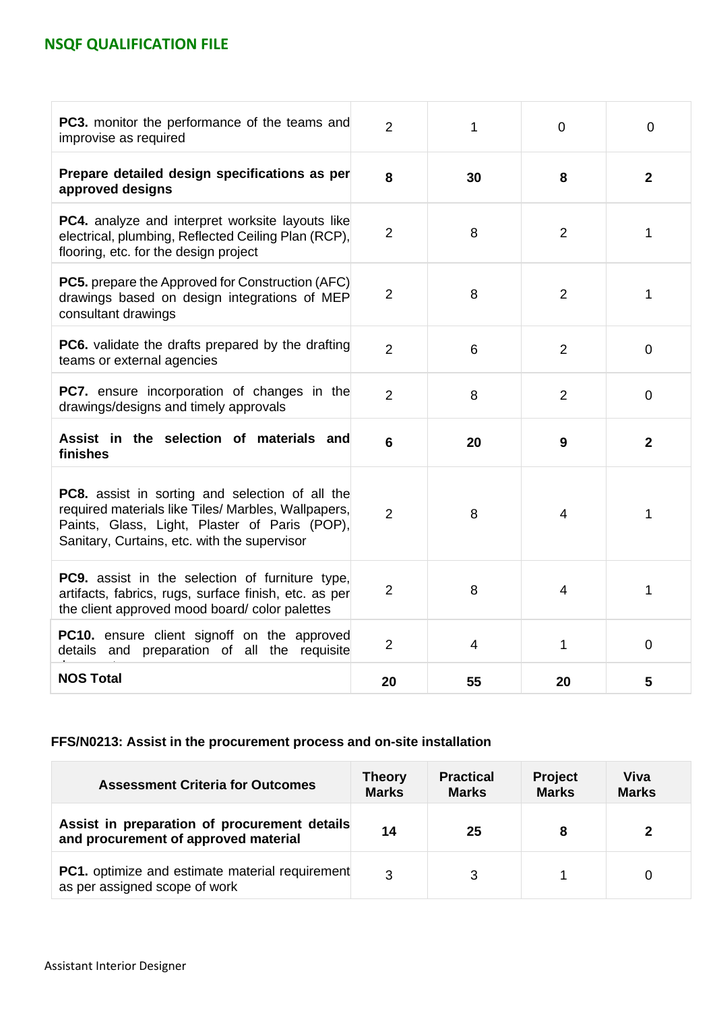| <b>PC3.</b> monitor the performance of the teams and<br>improvise as required                                                                                                                                  | $\overline{2}$ | 1              | $\overline{0}$ | $\overline{0}$ |
|----------------------------------------------------------------------------------------------------------------------------------------------------------------------------------------------------------------|----------------|----------------|----------------|----------------|
| Prepare detailed design specifications as per<br>approved designs                                                                                                                                              | 8              | 30             | 8              | $\mathbf{2}$   |
| PC4. analyze and interpret worksite layouts like<br>electrical, plumbing, Reflected Ceiling Plan (RCP),<br>flooring, etc. for the design project                                                               | $\overline{2}$ | 8              | 2              | 1              |
| <b>PC5.</b> prepare the Approved for Construction (AFC)<br>drawings based on design integrations of MEP<br>consultant drawings                                                                                 | $\overline{2}$ | 8              | $\overline{2}$ | 1              |
| <b>PC6.</b> validate the drafts prepared by the drafting<br>teams or external agencies                                                                                                                         | $\overline{2}$ | 6              | 2              | $\overline{0}$ |
| <b>PC7.</b> ensure incorporation of changes in the<br>drawings/designs and timely approvals                                                                                                                    | $\overline{2}$ | 8              | 2              | $\Omega$       |
| Assist in the selection of materials and<br>finishes                                                                                                                                                           | 6              | 20             | 9              | $\overline{2}$ |
| <b>PC8.</b> assist in sorting and selection of all the<br>required materials like Tiles/ Marbles, Wallpapers,<br>Paints, Glass, Light, Plaster of Paris (POP),<br>Sanitary, Curtains, etc. with the supervisor | $\overline{2}$ | 8              | 4              | 1              |
| <b>PC9.</b> assist in the selection of furniture type,<br>artifacts, fabrics, rugs, surface finish, etc. as per<br>the client approved mood board/color palettes                                               | $\overline{2}$ | 8              | $\overline{4}$ | $\mathbf{1}$   |
| PC10. ensure client signoff on the approved<br>details and preparation of all the requisite                                                                                                                    | $\overline{2}$ | $\overline{4}$ | 1              | $\overline{0}$ |
| <b>NOS Total</b>                                                                                                                                                                                               | 20             | 55             | 20             | 5              |

### **FFS/N0213: Assist in the procurement process and on-site installation**

| <b>Assessment Criteria for Outcomes</b>                                                 | <b>Theory</b><br><b>Marks</b> | <b>Practical</b><br><b>Marks</b> | <b>Project</b><br><b>Marks</b> | Viva<br><b>Marks</b> |
|-----------------------------------------------------------------------------------------|-------------------------------|----------------------------------|--------------------------------|----------------------|
| Assist in preparation of procurement details<br>and procurement of approved material    | 14                            | 25                               |                                | 2                    |
| <b>PC1.</b> optimize and estimate material requirement<br>as per assigned scope of work | 3                             |                                  |                                |                      |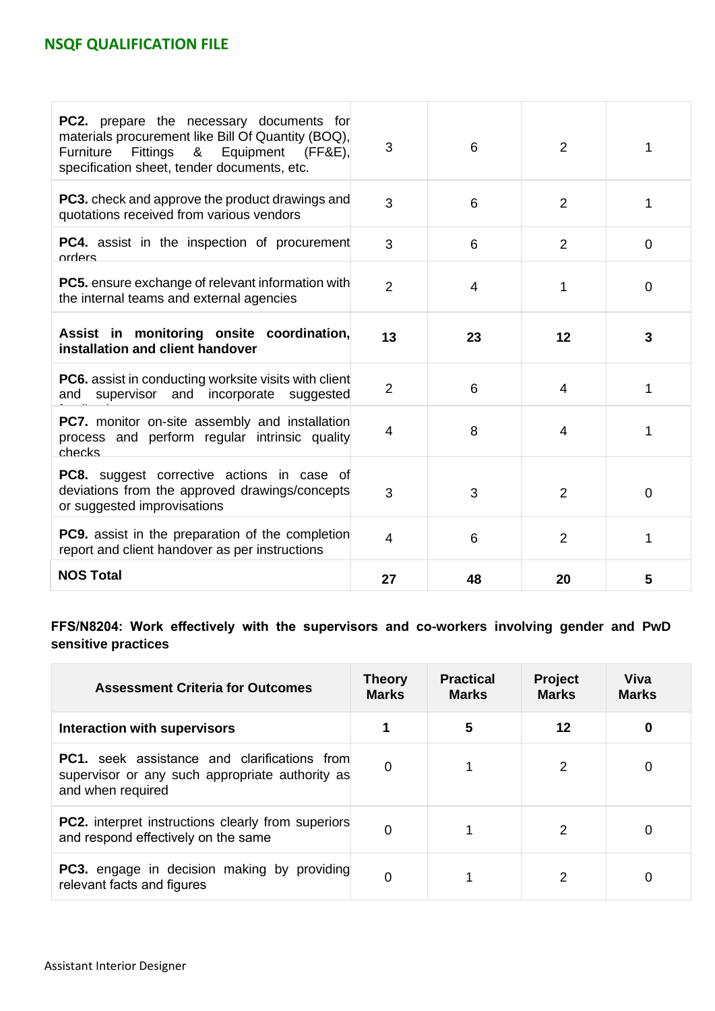| <b>PC2.</b> prepare the necessary documents for<br>materials procurement like Bill Of Quantity (BOQ),<br>Fittings & Equipment (FF&E),<br>Furniture<br>specification sheet, tender documents, etc. | 3              | 6  | $\overline{2}$ | 1              |
|---------------------------------------------------------------------------------------------------------------------------------------------------------------------------------------------------|----------------|----|----------------|----------------|
| <b>PC3.</b> check and approve the product drawings and<br>quotations received from various vendors                                                                                                | 3              | 6  | 2              | 1              |
| <b>PC4.</b> assist in the inspection of procurement<br>orders                                                                                                                                     | 3              | 6  | 2              | $\mathbf 0$    |
| <b>PC5.</b> ensure exchange of relevant information with<br>the internal teams and external agencies                                                                                              | $\overline{2}$ | 4  | 1              | $\overline{0}$ |
| Assist in monitoring onsite coordination,<br>installation and client handover                                                                                                                     | 13             | 23 | 12             | 3              |
| <b>PC6.</b> assist in conducting worksite visits with client<br>supervisor and incorporate<br>and<br>suggested                                                                                    | $\overline{2}$ | 6  | 4              | 1              |
| <b>PC7.</b> monitor on-site assembly and installation<br>process and perform regular intrinsic quality<br>checks                                                                                  | $\overline{4}$ | 8  | 4              | 1              |
| <b>PC8.</b> suggest corrective actions in case of<br>deviations from the approved drawings/concepts<br>or suggested improvisations                                                                | 3              | 3  | 2              | $\mathbf 0$    |
| <b>PC9.</b> assist in the preparation of the completion<br>report and client handover as per instructions                                                                                         | 4              | 6  | $\overline{2}$ | 1              |
| <b>NOS Total</b>                                                                                                                                                                                  | 27             | 48 | 20             | 5              |

**FFS/N8204: Work effectively with the supervisors and co-workers involving gender and PwD sensitive practices**

| <b>Assessment Criteria for Outcomes</b>                                                                                     | <b>Theory</b><br><b>Marks</b> | <b>Practical</b><br><b>Marks</b> | <b>Project</b><br><b>Marks</b> | Viva<br><b>Marks</b> |
|-----------------------------------------------------------------------------------------------------------------------------|-------------------------------|----------------------------------|--------------------------------|----------------------|
| Interaction with supervisors                                                                                                |                               | 5                                | 12                             | 0                    |
| <b>PC1.</b> seek assistance and clarifications from<br>supervisor or any such appropriate authority as<br>and when required | 0                             |                                  | 2                              | 0                    |
| <b>PC2.</b> interpret instructions clearly from superiors<br>and respond effectively on the same                            | 0                             |                                  | 2                              | 0                    |
| <b>PC3.</b> engage in decision making by providing<br>relevant facts and figures                                            | 0                             | 1                                | 2                              | 0                    |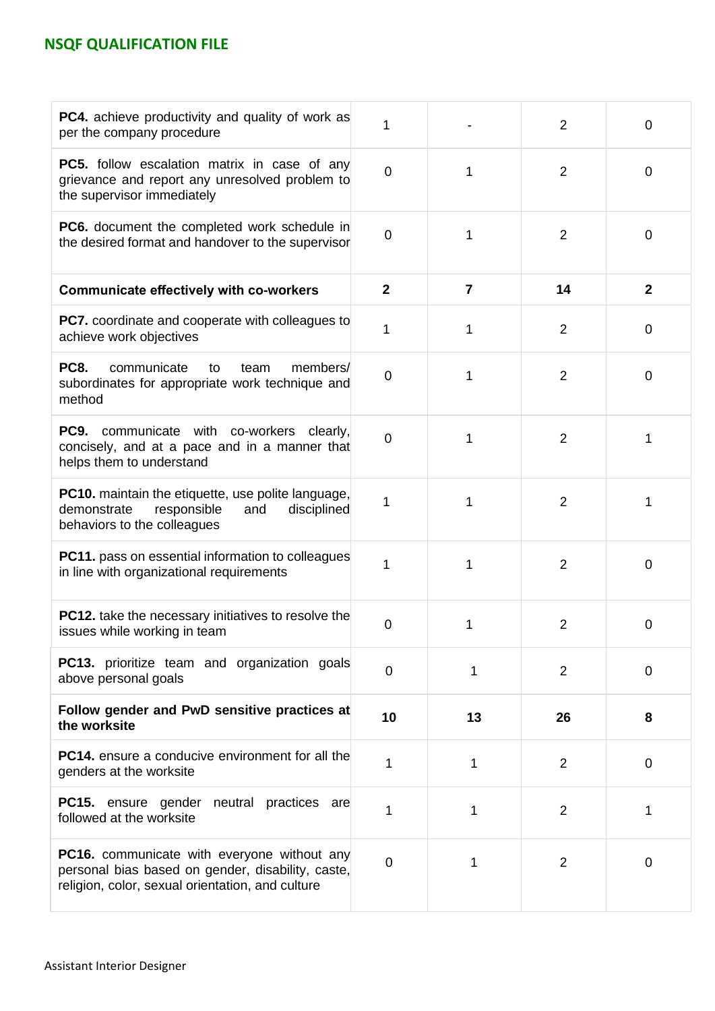| <b>PC4.</b> achieve productivity and quality of work as<br>per the company procedure                                                                        | 1              |                | $\overline{2}$ | $\overline{0}$ |
|-------------------------------------------------------------------------------------------------------------------------------------------------------------|----------------|----------------|----------------|----------------|
| PC5. follow escalation matrix in case of any<br>grievance and report any unresolved problem to<br>the supervisor immediately                                | $\overline{0}$ | 1              | $\overline{2}$ | $\mathbf 0$    |
| <b>PC6.</b> document the completed work schedule in<br>the desired format and handover to the supervisor                                                    | $\mathbf 0$    | 1              | $\overline{2}$ | $\mathbf 0$    |
| <b>Communicate effectively with co-workers</b>                                                                                                              | $\mathbf{2}$   | $\overline{7}$ | 14             | $\mathbf{2}$   |
| PC7. coordinate and cooperate with colleagues to<br>achieve work objectives                                                                                 | 1              | 1              | 2              | 0              |
| <b>PC8.</b><br>communicate<br>members/<br>to<br>team<br>subordinates for appropriate work technique and<br>method                                           | $\mathbf 0$    | 1              | $\overline{2}$ | $\mathbf 0$    |
| <b>PC9.</b> communicate with co-workers clearly,<br>concisely, and at a pace and in a manner that<br>helps them to understand                               | $\mathbf 0$    | 1              | $\overline{2}$ | 1              |
| <b>PC10.</b> maintain the etiquette, use polite language,<br>demonstrate<br>responsible<br>disciplined<br>and<br>behaviors to the colleagues                | 1              | 1              | $\overline{2}$ | 1              |
| <b>PC11.</b> pass on essential information to colleagues<br>in line with organizational requirements                                                        | 1              | 1              | $\overline{2}$ | $\mathbf 0$    |
| <b>PC12.</b> take the necessary initiatives to resolve the<br>issues while working in team                                                                  | 0              | 1              | $\overline{2}$ | $\overline{0}$ |
| <b>PC13.</b> prioritize team and organization goals<br>above personal goals                                                                                 | $\overline{0}$ | 1              | $\overline{2}$ | $\mathbf 0$    |
| Follow gender and PwD sensitive practices at<br>the worksite                                                                                                | 10             | 13             | 26             | 8              |
| <b>PC14.</b> ensure a conducive environment for all the<br>genders at the worksite                                                                          | 1              | 1              | $\overline{2}$ | $\mathbf 0$    |
| <b>PC15.</b> ensure gender<br>neutral practices are<br>followed at the worksite                                                                             | 1              | 1              | $\overline{2}$ | 1              |
| <b>PC16.</b> communicate with everyone without any<br>personal bias based on gender, disability, caste,<br>religion, color, sexual orientation, and culture | 0              | 1              | $\overline{2}$ | $\mathbf 0$    |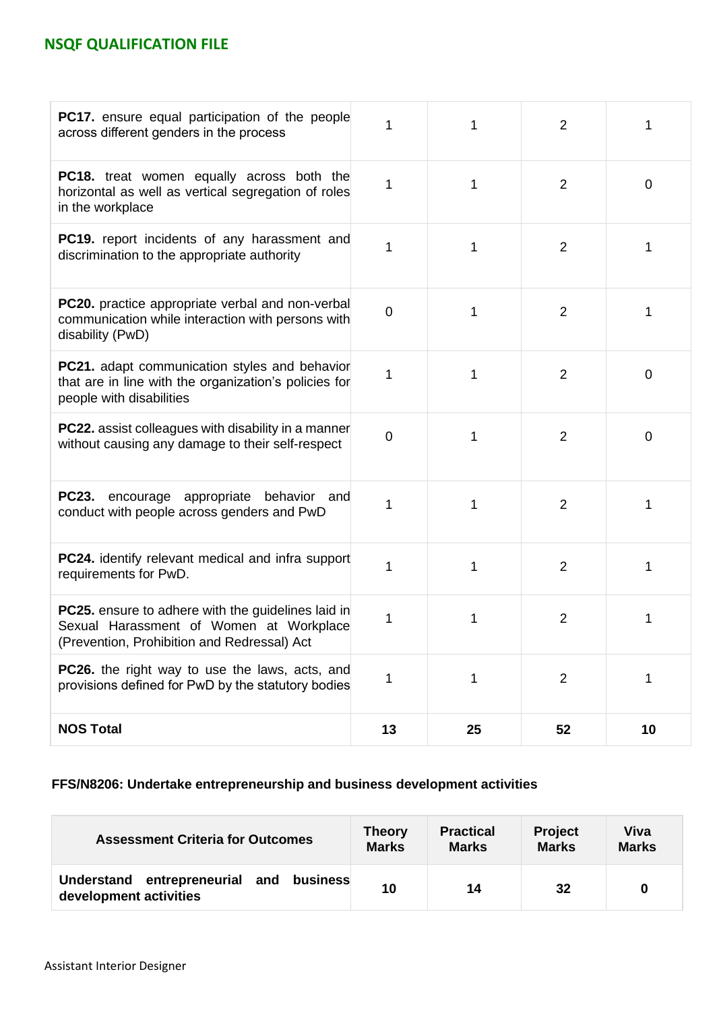| PC17. ensure equal participation of the people<br>across different genders in the process                                                           |                | 1  | $\overline{2}$ | 1           |
|-----------------------------------------------------------------------------------------------------------------------------------------------------|----------------|----|----------------|-------------|
| <b>PC18.</b> treat women equally across both the<br>horizontal as well as vertical segregation of roles<br>in the workplace                         | 1              | 1  | $\overline{2}$ | $\mathbf 0$ |
| <b>PC19.</b> report incidents of any harassment and<br>discrimination to the appropriate authority                                                  | 1              | 1  | $\overline{2}$ | 1           |
| <b>PC20.</b> practice appropriate verbal and non-verbal<br>communication while interaction with persons with<br>disability (PwD)                    | $\overline{0}$ | 1  | $\overline{2}$ | 1           |
| <b>PC21.</b> adapt communication styles and behavior<br>that are in line with the organization's policies for<br>people with disabilities           | 1              | 1  | $\overline{2}$ | $\mathbf 0$ |
| <b>PC22.</b> assist colleagues with disability in a manner<br>without causing any damage to their self-respect                                      | $\overline{0}$ | 1  | $\overline{2}$ | 0           |
| <b>PC23.</b><br>encourage appropriate behavior and<br>conduct with people across genders and PwD                                                    | 1              | 1  | $\overline{2}$ | 1           |
| <b>PC24.</b> identify relevant medical and infra support<br>requirements for PwD.                                                                   | 1              | 1  | $\overline{2}$ | 1           |
| <b>PC25.</b> ensure to adhere with the guidelines laid in<br>Sexual Harassment of Women at Workplace<br>(Prevention, Prohibition and Redressal) Act | 1              | 1  | $\overline{2}$ | 1           |
| <b>PC26.</b> the right way to use the laws, acts, and<br>provisions defined for PwD by the statutory bodies                                         | 1              | 1  | $\overline{2}$ | 1           |
| <b>NOS Total</b>                                                                                                                                    | 13             | 25 | 52             | 10          |

### **FFS/N8206: Undertake entrepreneurship and business development activities**

| <b>Assessment Criteria for Outcomes</b>                              | <b>Theory</b> | <b>Practical</b> | <b>Project</b> | Viva         |
|----------------------------------------------------------------------|---------------|------------------|----------------|--------------|
|                                                                      | <b>Marks</b>  | <b>Marks</b>     | <b>Marks</b>   | <b>Marks</b> |
| Understand entrepreneurial and<br>business<br>development activities | 10            | 14               | 32             | $\bf{0}$     |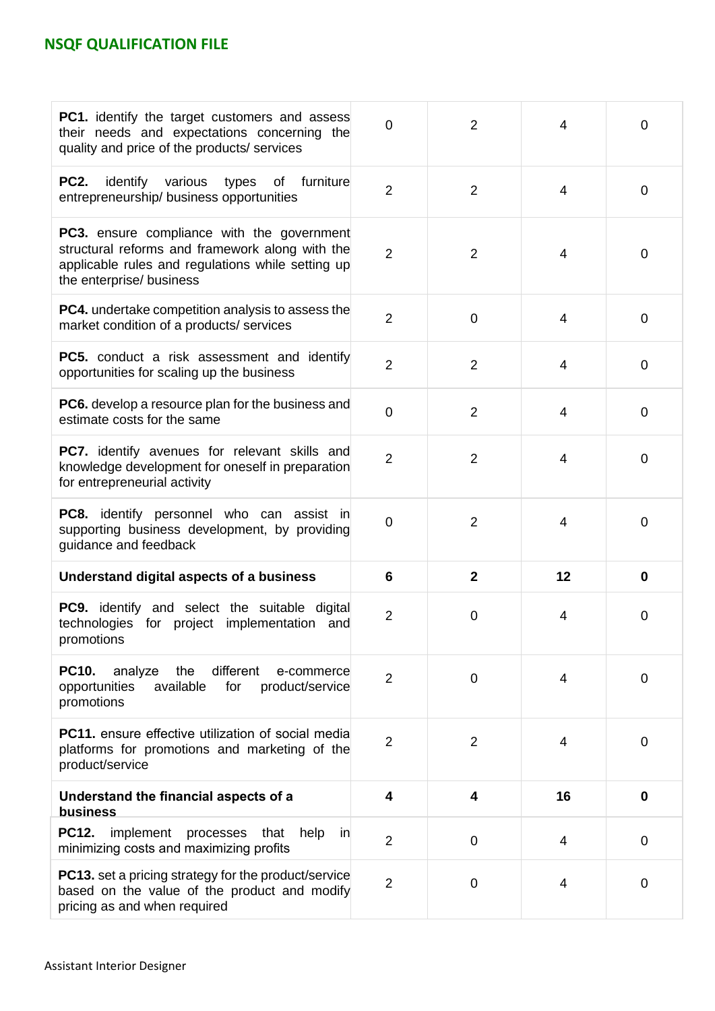| <b>PC1.</b> identify the target customers and assess<br>their needs and expectations concerning the<br>quality and price of the products/ services                                    | 0              | 2              | 4              | 0              |
|---------------------------------------------------------------------------------------------------------------------------------------------------------------------------------------|----------------|----------------|----------------|----------------|
| identify various types<br><b>PC2.</b><br>of furniture<br>entrepreneurship/ business opportunities                                                                                     | $\overline{2}$ | $\overline{2}$ | 4              | 0              |
| <b>PC3.</b> ensure compliance with the government<br>structural reforms and framework along with the<br>applicable rules and regulations while setting up<br>the enterprise/ business | $\overline{2}$ | $\overline{2}$ | 4              | 0              |
| <b>PC4.</b> undertake competition analysis to assess the<br>market condition of a products/ services                                                                                  | $\overline{2}$ | $\overline{0}$ | 4              | $\overline{0}$ |
| <b>PC5.</b> conduct a risk assessment and identify<br>opportunities for scaling up the business                                                                                       | $\overline{2}$ | $\overline{2}$ | $\overline{4}$ | 0              |
| <b>PC6.</b> develop a resource plan for the business and<br>estimate costs for the same                                                                                               | 0              | $\overline{2}$ | 4              | $\Omega$       |
| PC7. identify avenues for relevant skills and<br>knowledge development for oneself in preparation<br>for entrepreneurial activity                                                     | $\overline{2}$ | $\overline{2}$ | 4              | 0              |
| PC8. identify personnel who can assist in<br>supporting business development, by providing<br>guidance and feedback                                                                   | 0              | $\overline{2}$ | 4              | 0              |
| Understand digital aspects of a business                                                                                                                                              | 6              | $\overline{2}$ | 12             | $\mathbf 0$    |
| PC9. identify and select the suitable digital<br>technologies for project implementation and<br>promotions                                                                            | $\overline{2}$ | 0              | 4              | 0              |
| different<br><b>PC10.</b><br>analyze<br>the<br>e-commerce<br>available<br>opportunities<br>for<br>product/service<br>promotions                                                       | $\overline{2}$ | $\overline{0}$ | 4              | 0              |
| <b>PC11.</b> ensure effective utilization of social media<br>platforms for promotions and marketing of the<br>product/service                                                         | $\overline{2}$ | $\overline{2}$ | 4              | $\mathbf 0$    |
| Understand the financial aspects of a<br><b>business</b>                                                                                                                              | 4              | 4              | 16             | $\bf{0}$       |
| <b>PC12.</b><br>implement<br>processes<br>that<br>help<br>in<br>minimizing costs and maximizing profits                                                                               | $\overline{2}$ | $\mathbf 0$    | 4              | 0              |
| <b>PC13.</b> set a pricing strategy for the product/service<br>based on the value of the product and modify<br>pricing as and when required                                           | $\overline{2}$ | 0              | 4              | 0              |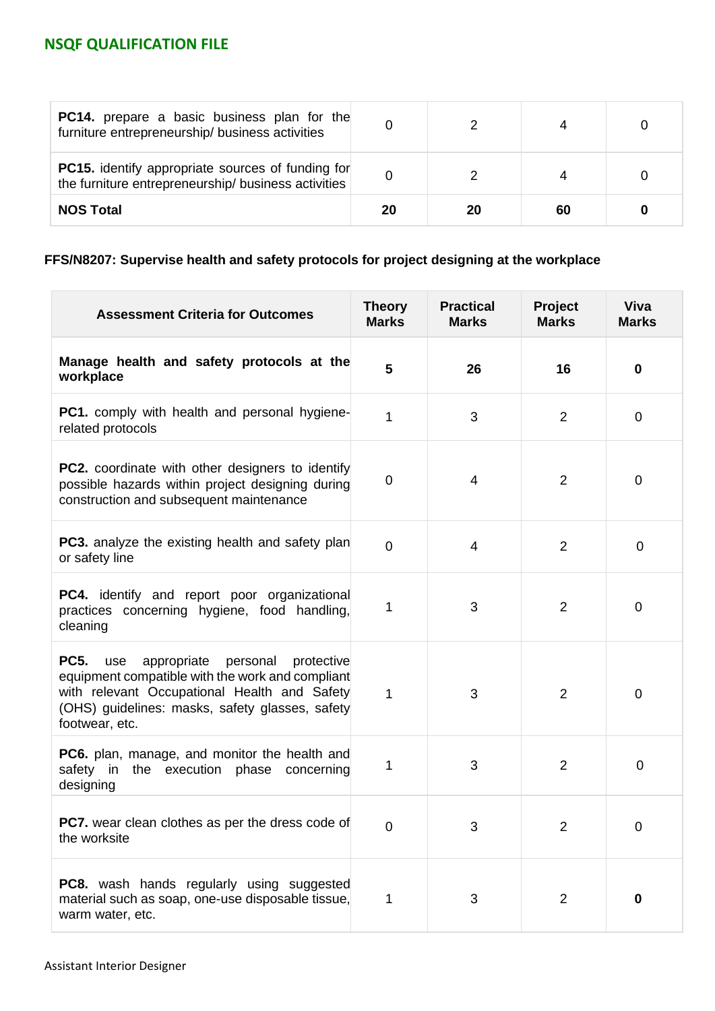| <b>PC14.</b> prepare a basic business plan for the<br>furniture entrepreneurship/ business activities           |    |    |    |  |
|-----------------------------------------------------------------------------------------------------------------|----|----|----|--|
| <b>PC15.</b> identify appropriate sources of funding for<br>the furniture entrepreneurship/ business activities |    |    |    |  |
| <b>NOS Total</b>                                                                                                | 20 | 20 | 60 |  |

## **FFS/N8207: Supervise health and safety protocols for project designing at the workplace**

| <b>Assessment Criteria for Outcomes</b>                                                                                                                                                                                              | <b>Theory</b><br><b>Marks</b> | <b>Practical</b><br><b>Marks</b> | Project<br><b>Marks</b> | <b>Viva</b><br><b>Marks</b> |
|--------------------------------------------------------------------------------------------------------------------------------------------------------------------------------------------------------------------------------------|-------------------------------|----------------------------------|-------------------------|-----------------------------|
| Manage health and safety protocols at the<br>workplace                                                                                                                                                                               | 5                             | 26                               | 16                      | 0                           |
| <b>PC1.</b> comply with health and personal hygiene-<br>related protocols                                                                                                                                                            | 1                             | 3                                | $\overline{2}$          | 0                           |
| <b>PC2.</b> coordinate with other designers to identify<br>possible hazards within project designing during<br>construction and subsequent maintenance                                                                               | 0                             | 4                                | $\overline{2}$          | 0                           |
| <b>PC3.</b> analyze the existing health and safety plan<br>or safety line                                                                                                                                                            | $\overline{0}$                | 4                                | $\overline{2}$          | $\mathbf 0$                 |
| <b>PC4.</b> identify and report poor organizational<br>practices concerning hygiene, food handling,<br>cleaning                                                                                                                      | 1                             | 3                                | $\overline{2}$          | 0                           |
| <b>PC5.</b><br>appropriate<br>personal<br>use<br>protective<br>equipment compatible with the work and compliant<br>with relevant Occupational Health and Safety<br>(OHS) guidelines: masks, safety glasses, safety<br>footwear, etc. | 1                             | 3                                | $\overline{2}$          | 0                           |
| <b>PC6.</b> plan, manage, and monitor the health and<br>safety in the execution<br>phase concerning<br>designing                                                                                                                     | 1                             | 3                                | $\overline{2}$          | $\mathbf 0$                 |
| <b>PC7.</b> wear clean clothes as per the dress code of<br>the worksite                                                                                                                                                              | 0                             | 3                                | $\overline{2}$          | 0                           |
| <b>PC8.</b> wash hands regularly using suggested<br>material such as soap, one-use disposable tissue,<br>warm water, etc.                                                                                                            | 1                             | 3                                | $\overline{2}$          | 0                           |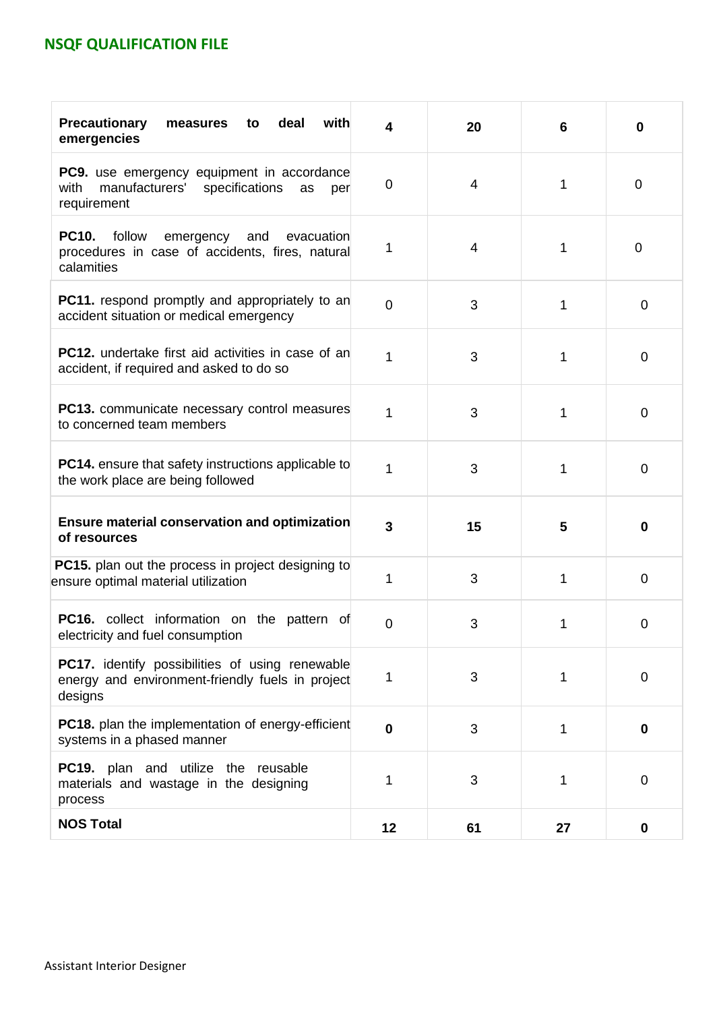| <b>Precautionary</b><br>deal<br>with<br>measures<br>to<br>emergencies                                                     | 4           | 20 | 6  | 0           |
|---------------------------------------------------------------------------------------------------------------------------|-------------|----|----|-------------|
| PC9. use emergency equipment in accordance<br>manufacturers'<br>specifications<br>with<br>as<br>per<br>requirement        | 0           | 4  | 1  | 0           |
| <b>PC10.</b><br>follow<br>emergency<br>and<br>evacuation<br>procedures in case of accidents, fires, natural<br>calamities | 1           | 4  | 1  | 0           |
| <b>PC11.</b> respond promptly and appropriately to an<br>accident situation or medical emergency                          | $\Omega$    | 3  | 1  | 0           |
| <b>PC12.</b> undertake first aid activities in case of an<br>accident, if required and asked to do so                     | 1           | 3  | 1  | $\mathbf 0$ |
| <b>PC13.</b> communicate necessary control measures<br>to concerned team members                                          | 1           | 3  | 1  | 0           |
| <b>PC14.</b> ensure that safety instructions applicable to<br>the work place are being followed                           | 1           | 3  | 1  | 0           |
| <b>Ensure material conservation and optimization</b><br>of resources                                                      | 3           | 15 | 5  | $\bf{0}$    |
| PC15. plan out the process in project designing to<br>ensure optimal material utilization                                 | 1           | 3  | 1  | 0           |
| PC16. collect information on the pattern of<br>electricity and fuel consumption                                           | 0           | 3  | 1  | 0           |
| <b>PC17.</b> identify possibilities of using renewable<br>energy and environment-friendly fuels in project<br>designs     | 1           | 3  | 1  | $\mathbf 0$ |
| PC18. plan the implementation of energy-efficient<br>systems in a phased manner                                           | $\mathbf 0$ | 3  | 1  | $\mathbf 0$ |
| PC19. plan and utilize the reusable<br>materials and wastage in the designing<br>process                                  | 1           | 3  | 1  | $\mathbf 0$ |
| <b>NOS Total</b>                                                                                                          | 12          | 61 | 27 | 0           |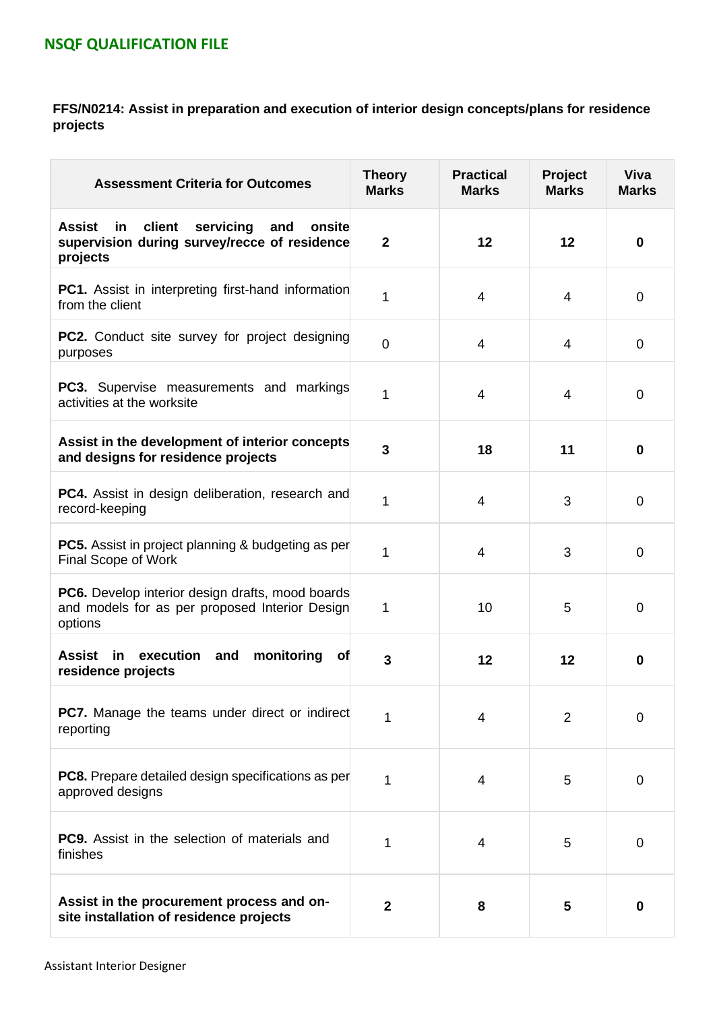### **FFS/N0214: Assist in preparation and execution of interior design concepts/plans for residence projects**

| <b>Assessment Criteria for Outcomes</b>                                                                                 | <b>Theory</b><br><b>Marks</b> | <b>Practical</b><br><b>Marks</b> | Project<br><b>Marks</b> | <b>Viva</b><br><b>Marks</b> |
|-------------------------------------------------------------------------------------------------------------------------|-------------------------------|----------------------------------|-------------------------|-----------------------------|
| client<br><b>Assist</b><br>in<br>servicing<br>and<br>onsite<br>supervision during survey/recce of residence<br>projects | $\mathbf{2}$                  | 12                               | 12                      | $\bf{0}$                    |
| <b>PC1.</b> Assist in interpreting first-hand information<br>from the client                                            | 1                             | 4                                | 4                       | $\mathbf 0$                 |
| <b>PC2.</b> Conduct site survey for project designing<br>purposes                                                       | $\mathbf 0$                   | 4                                | 4                       | $\mathbf 0$                 |
| <b>PC3.</b> Supervise measurements and markings<br>activities at the worksite                                           | 1                             | 4                                | 4                       | $\mathbf 0$                 |
| Assist in the development of interior concepts<br>and designs for residence projects                                    | 3                             | 18                               | 11                      | $\bf{0}$                    |
| <b>PC4.</b> Assist in design deliberation, research and<br>record-keeping                                               | 1                             | 4                                | 3                       | 0                           |
| <b>PC5.</b> Assist in project planning & budgeting as per<br>Final Scope of Work                                        | 1                             | $\overline{4}$                   | 3                       | $\overline{0}$              |
| <b>PC6.</b> Develop interior design drafts, mood boards<br>and models for as per proposed Interior Design<br>options    | 1                             | 10                               | 5                       | 0                           |
| in execution<br>monitoring<br>Assist<br>and<br><b>of</b><br>residence projects                                          | 3                             | 12                               | 12                      | 0                           |
| <b>PC7.</b> Manage the teams under direct or indirect<br>reporting                                                      | 1                             | 4                                | $\overline{2}$          | $\overline{0}$              |
| PC8. Prepare detailed design specifications as per<br>approved designs                                                  | 1                             | 4                                | 5                       | 0                           |
| <b>PC9.</b> Assist in the selection of materials and<br>finishes                                                        | 1                             | 4                                | 5                       | $\mathbf 0$                 |
| Assist in the procurement process and on-<br>site installation of residence projects                                    | $\mathbf 2$                   | 8                                | 5                       | 0                           |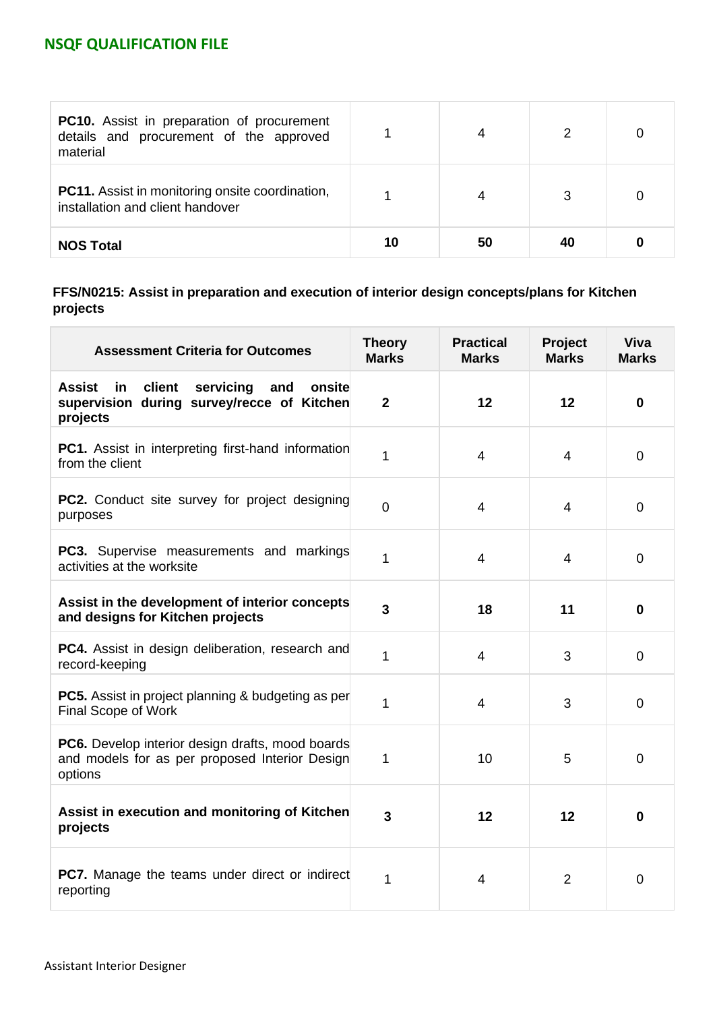| <b>PC10.</b> Assist in preparation of procurement<br>details and procurement of the approved<br>material |    |    |    |  |
|----------------------------------------------------------------------------------------------------------|----|----|----|--|
| <b>PC11.</b> Assist in monitoring onsite coordination,<br>installation and client handover               |    |    |    |  |
| <b>NOS Total</b>                                                                                         | 10 | 50 | 40 |  |

### **FFS/N0215: Assist in preparation and execution of interior design concepts/plans for Kitchen projects**

| <b>Assessment Criteria for Outcomes</b>                                                                               | <b>Theory</b><br><b>Marks</b> | <b>Practical</b><br><b>Marks</b> | Project<br><b>Marks</b> | <b>Viva</b><br><b>Marks</b> |
|-----------------------------------------------------------------------------------------------------------------------|-------------------------------|----------------------------------|-------------------------|-----------------------------|
| <b>Assist</b><br>client<br>servicing<br>and<br>onsite<br>in<br>supervision during survey/recce of Kitchen<br>projects | $\overline{2}$                | 12                               | 12                      | $\bf{0}$                    |
| <b>PC1.</b> Assist in interpreting first-hand information<br>from the client                                          | 1                             | $\overline{4}$                   | 4                       | $\mathbf 0$                 |
| PC2. Conduct site survey for project designing<br>purposes                                                            | $\mathbf 0$                   | $\overline{4}$                   | $\overline{4}$          | $\overline{0}$              |
| <b>PC3.</b> Supervise measurements and markings<br>activities at the worksite                                         | 1                             | $\overline{4}$                   | 4                       | $\overline{0}$              |
| Assist in the development of interior concepts<br>and designs for Kitchen projects                                    | 3                             | 18                               | 11                      | $\bf{0}$                    |
| PC4. Assist in design deliberation, research and<br>record-keeping                                                    | 1                             | $\overline{4}$                   | 3                       | 0                           |
| <b>PC5.</b> Assist in project planning & budgeting as per<br><b>Final Scope of Work</b>                               | 1                             | $\overline{4}$                   | 3                       | $\mathbf 0$                 |
| PC6. Develop interior design drafts, mood boards<br>and models for as per proposed Interior Design<br>options         | 1                             | 10                               | 5                       | $\mathbf 0$                 |
| Assist in execution and monitoring of Kitchen<br>projects                                                             | 3                             | 12                               | 12                      | $\mathbf 0$                 |
| <b>PC7.</b> Manage the teams under direct or indirect<br>reporting                                                    | 1                             | $\overline{4}$                   | $\overline{2}$          | $\overline{0}$              |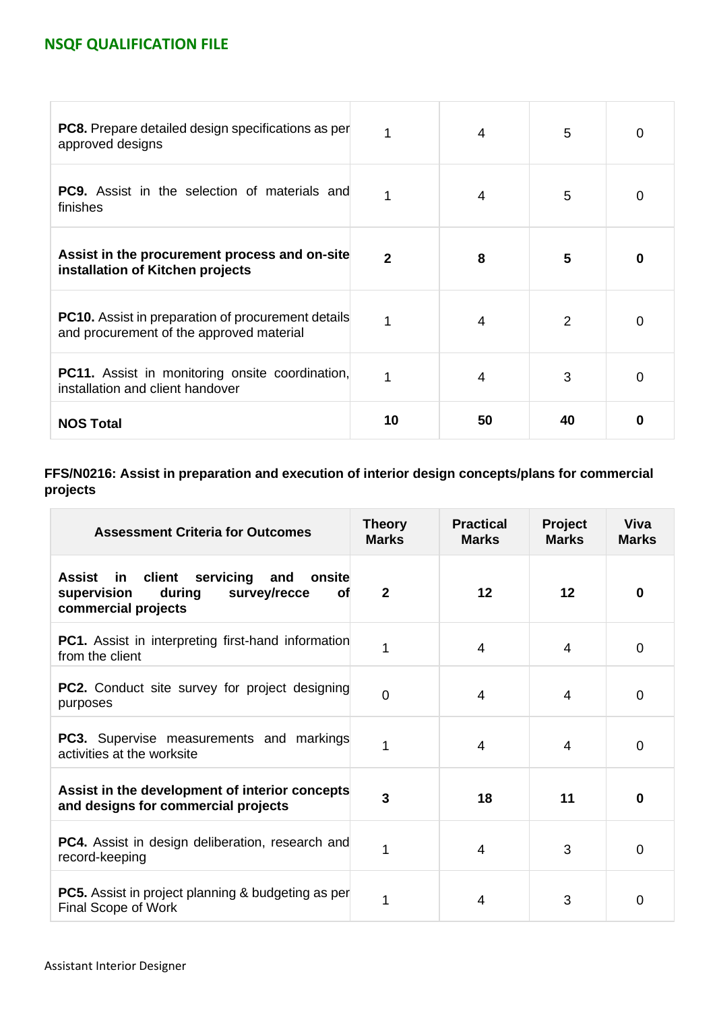| <b>PC8.</b> Prepare detailed design specifications as per<br>approved designs                         | 1  | $\overline{4}$ | 5             | 0 |
|-------------------------------------------------------------------------------------------------------|----|----------------|---------------|---|
| <b>PC9.</b> Assist in the selection of materials and<br>finishes                                      | 1  | $\overline{4}$ | 5             | O |
| Assist in the procurement process and on-site<br>installation of Kitchen projects                     | 2  | 8              | 5             | 0 |
| <b>PC10.</b> Assist in preparation of procurement details<br>and procurement of the approved material | 1  | $\overline{4}$ | $\mathcal{P}$ | Ω |
| <b>PC11.</b> Assist in monitoring onsite coordination,<br>installation and client handover            |    | 4              | 3             | 0 |
| <b>NOS Total</b>                                                                                      | 10 | 50             | 40            | 0 |

### **FFS/N0216: Assist in preparation and execution of interior design concepts/plans for commercial projects**

| <b>Assessment Criteria for Outcomes</b>                                                                                     | <b>Theory</b><br><b>Marks</b> | <b>Practical</b><br><b>Marks</b> | <b>Project</b><br><b>Marks</b> | Viva<br><b>Marks</b> |
|-----------------------------------------------------------------------------------------------------------------------------|-------------------------------|----------------------------------|--------------------------------|----------------------|
| servicing<br>client<br>and<br>Assist<br>in.<br>onsite<br>survey/recce<br>during<br>supervision<br>Οf<br>commercial projects | $\overline{2}$                | 12                               | 12                             | $\bf{0}$             |
| <b>PC1.</b> Assist in interpreting first-hand information<br>from the client                                                | 1                             | 4                                | 4                              | $\mathbf 0$          |
| <b>PC2.</b> Conduct site survey for project designing<br>purposes                                                           | $\overline{0}$                | 4                                | 4                              | $\overline{0}$       |
| PC3. Supervise measurements and markings<br>activities at the worksite                                                      | 1                             | 4                                | 4                              | $\overline{0}$       |
| Assist in the development of interior concepts<br>and designs for commercial projects                                       | 3                             | 18                               | 11                             | $\bf{0}$             |
| <b>PC4.</b> Assist in design deliberation, research and<br>record-keeping                                                   | 1                             | $\overline{4}$                   | 3                              | $\mathbf 0$          |
| <b>PC5.</b> Assist in project planning & budgeting as per<br>Final Scope of Work                                            | 1                             | 4                                | 3                              | 0                    |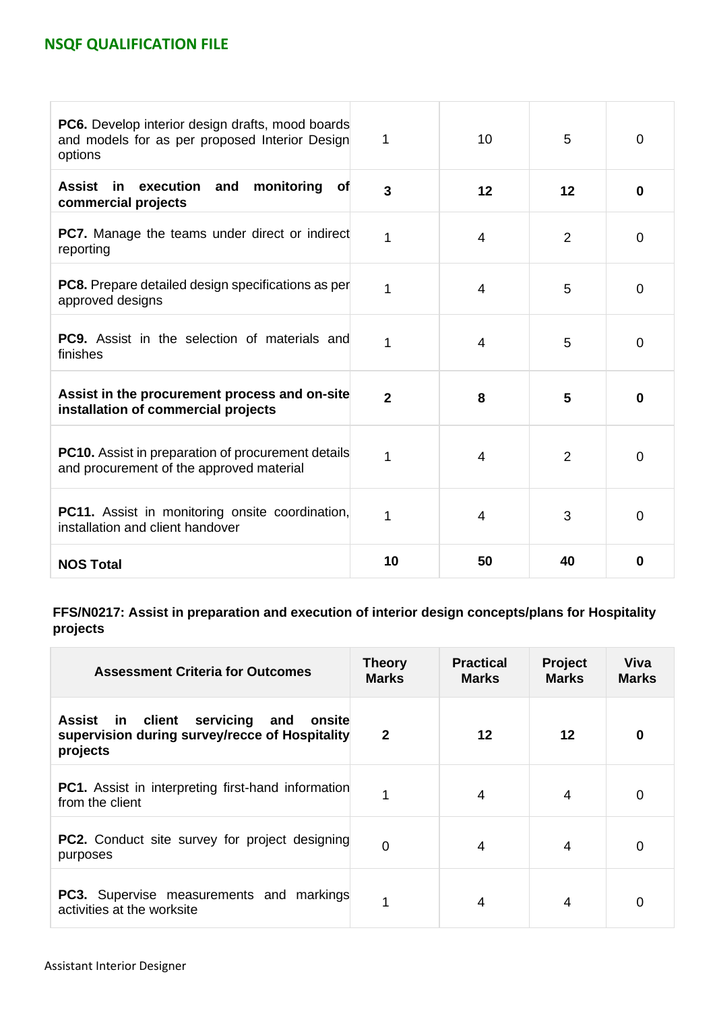| <b>PC6.</b> Develop interior design drafts, mood boards<br>and models for as per proposed Interior Design<br>options | 1              | 10 | 5              | $\overline{0}$ |
|----------------------------------------------------------------------------------------------------------------------|----------------|----|----------------|----------------|
| Assist in execution<br>and<br>monitoring<br><b>of</b><br>commercial projects                                         | 3              | 12 | 12             | $\bf{0}$       |
| <b>PC7.</b> Manage the teams under direct or indirect<br>reporting                                                   | 1              | 4  | $\overline{2}$ | 0              |
| <b>PC8.</b> Prepare detailed design specifications as per<br>approved designs                                        | 1              | 4  | 5              | 0              |
| <b>PC9.</b> Assist in the selection of materials and<br>finishes                                                     | 1              | 4  | 5              | $\mathbf 0$    |
| Assist in the procurement process and on-site<br>installation of commercial projects                                 | $\overline{2}$ | 8  | 5              | $\bf{0}$       |
| PC10. Assist in preparation of procurement details<br>and procurement of the approved material                       | 1              | 4  | 2              | $\mathbf 0$    |
| <b>PC11.</b> Assist in monitoring onsite coordination,<br>installation and client handover                           | 1              | 4  | 3              | 0              |
| <b>NOS Total</b>                                                                                                     | 10             | 50 | 40             | 0              |

**FFS/N0217: Assist in preparation and execution of interior design concepts/plans for Hospitality projects**

| <b>Assessment Criteria for Outcomes</b>                                                                         | <b>Theory</b><br><b>Marks</b> | <b>Practical</b><br><b>Marks</b> | <b>Project</b><br><b>Marks</b> | Viva<br><b>Marks</b> |
|-----------------------------------------------------------------------------------------------------------------|-------------------------------|----------------------------------|--------------------------------|----------------------|
| servicing<br>Assist<br>in client<br>onsite<br>and<br>supervision during survey/recce of Hospitality<br>projects | $\overline{2}$                | 12                               | 12                             | 0                    |
| <b>PC1.</b> Assist in interpreting first-hand information<br>from the client                                    |                               | 4                                | 4                              | $\Omega$             |
| <b>PC2.</b> Conduct site survey for project designing<br>purposes                                               | 0                             | 4                                | 4                              | 0                    |
| <b>PC3.</b> Supervise measurements and markings<br>activities at the worksite                                   |                               | 4                                | 4                              | 0                    |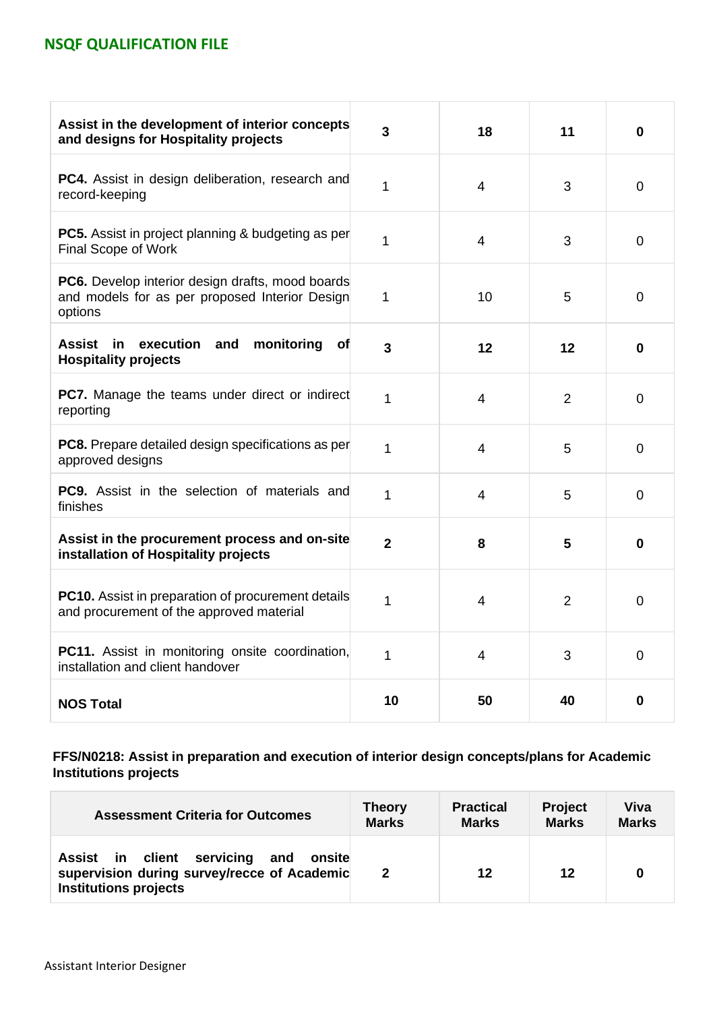| Assist in the development of interior concepts<br>and designs for Hospitality projects                        | 3              | 18             | 11             | $\bf{0}$       |
|---------------------------------------------------------------------------------------------------------------|----------------|----------------|----------------|----------------|
| <b>PC4.</b> Assist in design deliberation, research and<br>record-keeping                                     | 1              | $\overline{4}$ | 3              | $\mathbf 0$    |
| <b>PC5.</b> Assist in project planning & budgeting as per<br>Final Scope of Work                              | 1              | $\overline{4}$ | 3              | $\mathbf 0$    |
| PC6. Develop interior design drafts, mood boards<br>and models for as per proposed Interior Design<br>options | 1              | 10             | 5              | $\overline{0}$ |
| execution<br>monitoring<br>Assist<br>in<br>and<br>Οf<br><b>Hospitality projects</b>                           | 3              | 12             | 12             | $\bf{0}$       |
| <b>PC7.</b> Manage the teams under direct or indirect<br>reporting                                            | 1              | $\overline{4}$ | $\overline{2}$ | $\overline{0}$ |
| PC8. Prepare detailed design specifications as per<br>approved designs                                        | 1              | $\overline{4}$ | 5              | $\overline{0}$ |
| <b>PC9.</b> Assist in the selection of materials and<br>finishes                                              | 1              | 4              | 5              | $\overline{0}$ |
| Assist in the procurement process and on-site<br>installation of Hospitality projects                         | $\overline{2}$ | 8              | 5              | 0              |
| PC10. Assist in preparation of procurement details<br>and procurement of the approved material                | 1              | $\overline{4}$ | $\overline{2}$ | $\overline{0}$ |
| PC11. Assist in monitoring onsite coordination,<br>installation and client handover                           | 1              | 4              | 3              | $\mathbf 0$    |
| <b>NOS Total</b>                                                                                              | 10             | 50             | 40             | $\bf{0}$       |

**FFS/N0218: Assist in preparation and execution of interior design concepts/plans for Academic Institutions projects**

| <b>Assessment Criteria for Outcomes</b>                                                                                 | <b>Theory</b> | <b>Practical</b> | <b>Project</b> | Viva         |
|-------------------------------------------------------------------------------------------------------------------------|---------------|------------------|----------------|--------------|
|                                                                                                                         | <b>Marks</b>  | <b>Marks</b>     | <b>Marks</b>   | <b>Marks</b> |
| Assist in client servicing and<br>onsite<br>supervision during survey/recce of Academic<br><b>Institutions projects</b> | $\mathbf{2}$  | 12               | 12             |              |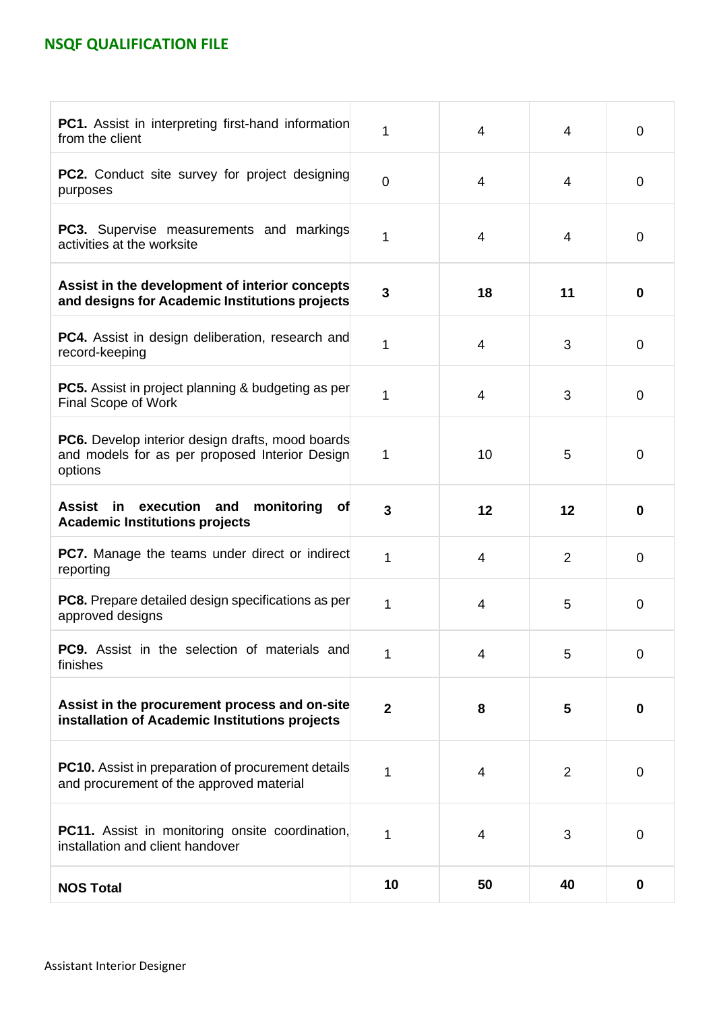| <b>PC1.</b> Assist in interpreting first-hand information<br>from the client                                         | 1            | $\overline{4}$ | 4              | $\mathbf 0$      |
|----------------------------------------------------------------------------------------------------------------------|--------------|----------------|----------------|------------------|
| <b>PC2.</b> Conduct site survey for project designing<br>purposes                                                    | $\mathbf 0$  | $\overline{4}$ | 4              | 0                |
| <b>PC3.</b> Supervise measurements and markings<br>activities at the worksite                                        | 1            | $\overline{4}$ | 4              | 0                |
| Assist in the development of interior concepts<br>and designs for Academic Institutions projects                     | 3            | 18             | 11             | 0                |
| <b>PC4.</b> Assist in design deliberation, research and<br>record-keeping                                            | 1            | $\overline{4}$ | 3              | $\mathbf 0$      |
| <b>PC5.</b> Assist in project planning & budgeting as per<br>Final Scope of Work                                     | 1            | $\overline{4}$ | 3              | $\overline{0}$   |
| <b>PC6.</b> Develop interior design drafts, mood boards<br>and models for as per proposed Interior Design<br>options | 1            | 10             | 5              | 0                |
| execution and<br><b>Assist</b><br>in<br>monitoring<br><b>of</b><br><b>Academic Institutions projects</b>             | 3            | 12             | 12             | $\bf{0}$         |
| <b>PC7.</b> Manage the teams under direct or indirect<br>reporting                                                   | 1            | 4              | $\overline{2}$ | 0                |
| <b>PC8.</b> Prepare detailed design specifications as per<br>approved designs                                        | 1            | 4              | 5              | $\mathbf 0$      |
| <b>PC9.</b> Assist in the selection of materials and<br>finishes                                                     | 1            | 4              | 5              | $\mathbf 0$      |
| Assist in the procurement process and on-site<br>installation of Academic Institutions projects                      | $\mathbf{2}$ | 8              | 5              | 0                |
| <b>PC10.</b> Assist in preparation of procurement details<br>and procurement of the approved material                | 1            | 4              | 2              | 0                |
| PC11. Assist in monitoring onsite coordination,<br>installation and client handover                                  | 1            | 4              | 3              | $\mathbf 0$      |
| <b>NOS Total</b>                                                                                                     | 10           | 50             | 40             | $\boldsymbol{0}$ |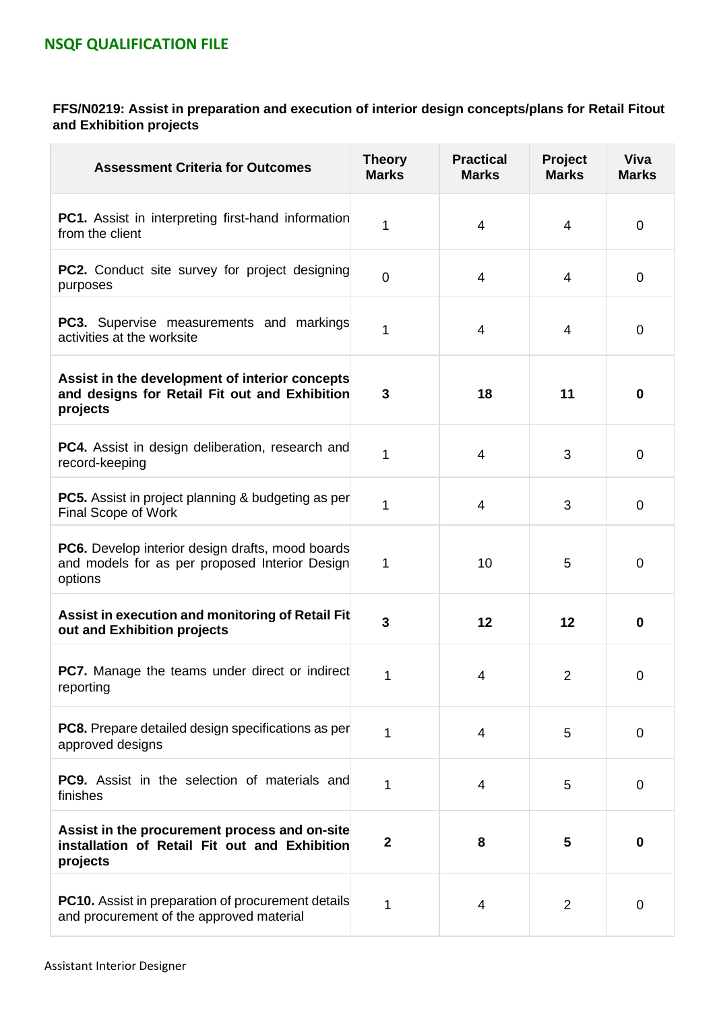### **FFS/N0219: Assist in preparation and execution of interior design concepts/plans for Retail Fitout and Exhibition projects**

| <b>Assessment Criteria for Outcomes</b>                                                                              | <b>Theory</b><br><b>Marks</b> | <b>Practical</b><br><b>Marks</b> | Project<br><b>Marks</b> | <b>Viva</b><br><b>Marks</b> |
|----------------------------------------------------------------------------------------------------------------------|-------------------------------|----------------------------------|-------------------------|-----------------------------|
| <b>PC1.</b> Assist in interpreting first-hand information<br>from the client                                         | 1                             | 4                                | 4                       | $\mathbf 0$                 |
| <b>PC2.</b> Conduct site survey for project designing<br>purposes                                                    | 0                             | $\overline{4}$                   | 4                       | $\mathbf 0$                 |
| <b>PC3.</b> Supervise measurements and markings<br>activities at the worksite                                        | 1                             | $\overline{4}$                   | 4                       | $\mathbf 0$                 |
| Assist in the development of interior concepts<br>and designs for Retail Fit out and Exhibition<br>projects          | 3                             | 18                               | 11                      | $\bf{0}$                    |
| <b>PC4.</b> Assist in design deliberation, research and<br>record-keeping                                            | 1                             | $\overline{4}$                   | 3                       | $\mathbf 0$                 |
| <b>PC5.</b> Assist in project planning & budgeting as per<br>Final Scope of Work                                     | 1                             | $\overline{4}$                   | 3                       | $\mathbf 0$                 |
| <b>PC6.</b> Develop interior design drafts, mood boards<br>and models for as per proposed Interior Design<br>options | 1                             | 10                               | 5                       | $\mathbf 0$                 |
| Assist in execution and monitoring of Retail Fit<br>out and Exhibition projects                                      | 3                             | 12                               | 12                      | $\bf{0}$                    |
| <b>PC7.</b> Manage the teams under direct or indirect<br>reporting                                                   | 1                             | 4                                | $\overline{2}$          | $\mathbf 0$                 |
| <b>PC8.</b> Prepare detailed design specifications as per<br>approved designs                                        | 1                             | $\overline{4}$                   | 5                       | $\overline{0}$              |
| <b>PC9.</b> Assist in the selection of materials and<br>finishes                                                     | 1                             | 4                                | 5                       | $\mathbf 0$                 |
| Assist in the procurement process and on-site<br>installation of Retail Fit out and Exhibition<br>projects           | $\mathbf{2}$                  | 8                                | 5                       | $\boldsymbol{0}$            |
| <b>PC10.</b> Assist in preparation of procurement details<br>and procurement of the approved material                | 1                             | 4                                | $\overline{2}$          | $\mathbf 0$                 |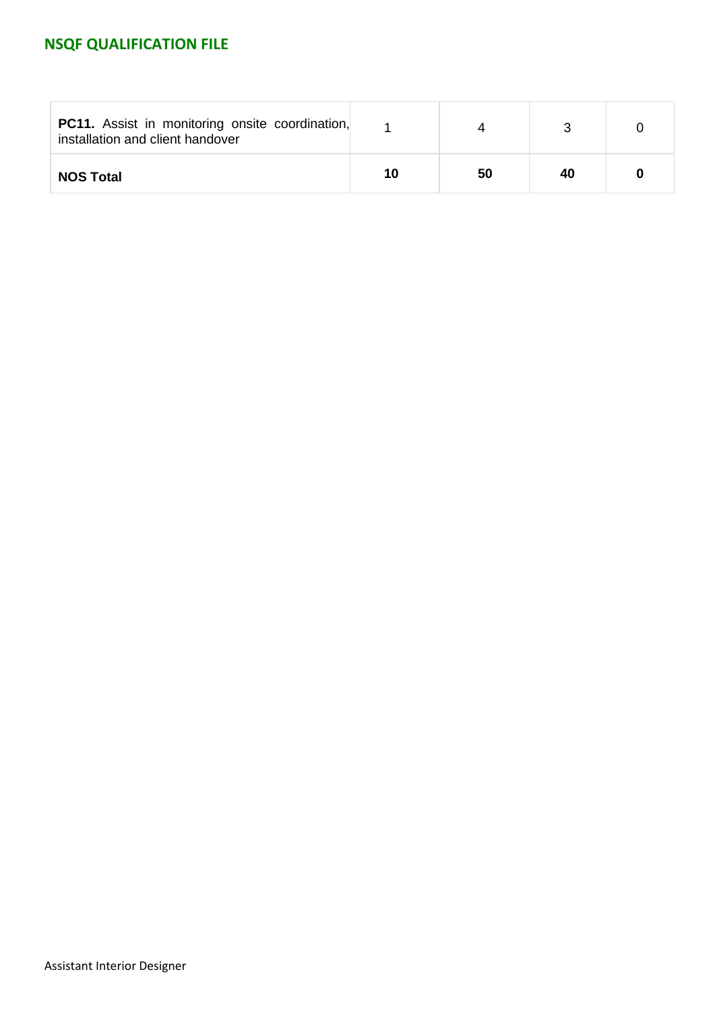| <b>PC11.</b> Assist in monitoring onsite coordination,<br>installation and client handover |    |    |    |  |
|--------------------------------------------------------------------------------------------|----|----|----|--|
| <b>NOS Total</b>                                                                           | 10 | 50 | 40 |  |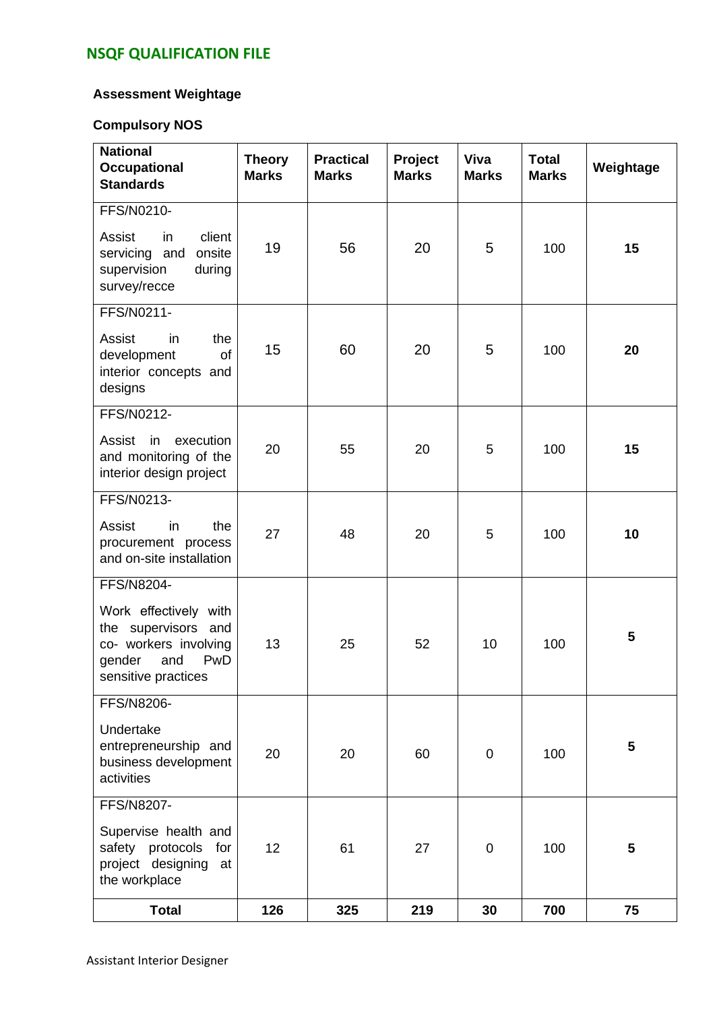### **Assessment Weightage**

### **Compulsory NOS**

| <b>National</b><br><b>Occupational</b><br><b>Standards</b>                                                                         | <b>Theory</b><br><b>Marks</b> | <b>Practical</b><br><b>Marks</b> | Project<br><b>Marks</b> | Viva<br><b>Marks</b> | <b>Total</b><br><b>Marks</b> | Weightage |
|------------------------------------------------------------------------------------------------------------------------------------|-------------------------------|----------------------------------|-------------------------|----------------------|------------------------------|-----------|
| FFS/N0210-<br>Assist<br>in<br>client<br>onsite<br>servicing and<br>supervision<br>during<br>survey/recce                           | 19                            | 56                               | 20                      | 5                    | 100                          | 15        |
| FFS/N0211-<br>Assist<br>the<br>in<br>development<br>of<br>interior concepts and<br>designs                                         | 15                            | 60                               | 20                      | 5                    | 100                          | 20        |
| FFS/N0212-<br>Assist<br>execution<br>in<br>and monitoring of the<br>interior design project                                        | 20                            | 55                               | 20                      | 5                    | 100                          | 15        |
| FFS/N0213-<br>Assist<br>in<br>the<br>procurement process<br>and on-site installation                                               | 27                            | 48                               | 20                      | 5                    | 100                          | 10        |
| FFS/N8204-<br>Work effectively with<br>the supervisors and<br>co- workers involving<br>PwD<br>gender<br>and<br>sensitive practices | 13                            | 25                               | 52                      | 10                   | 100                          | 5         |
| FFS/N8206-<br>Undertake<br>entrepreneurship and<br>business development<br>activities                                              | 20                            | 20                               | 60                      | $\mathbf 0$          | 100                          | 5         |
| FFS/N8207-<br>Supervise health and<br>safety protocols<br>for<br>project designing<br>at<br>the workplace                          | 12                            | 61                               | 27                      | $\mathbf 0$          | 100                          | 5         |
| <b>Total</b>                                                                                                                       | 126                           | 325                              | 219                     | 30                   | 700                          | 75        |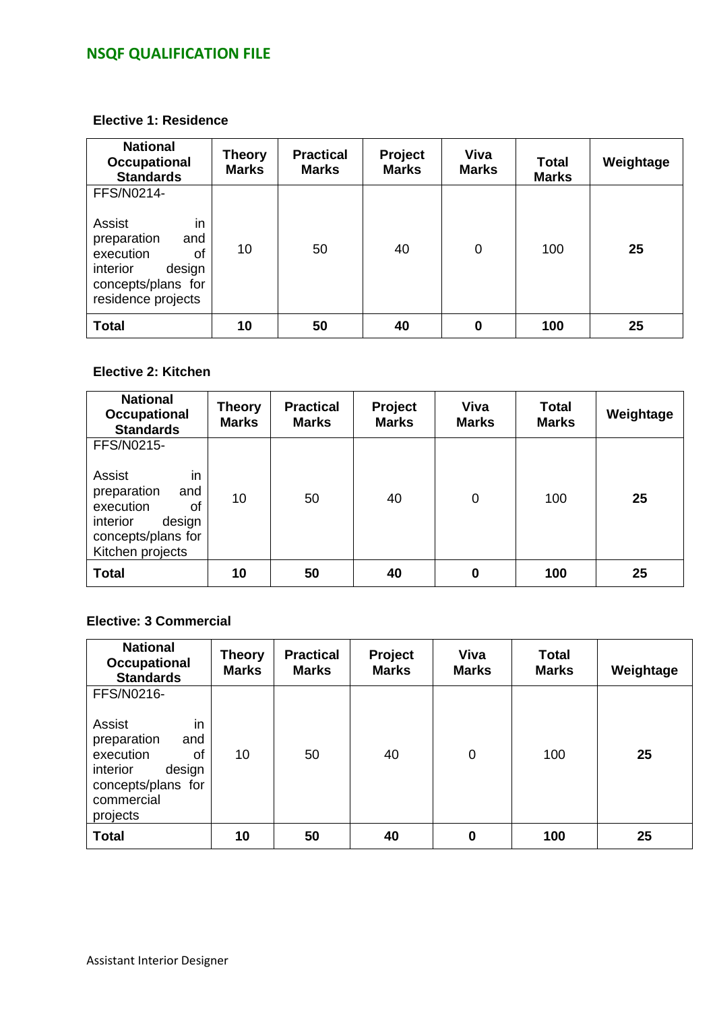#### **Elective 1: Residence**

| <b>National</b><br><b>Occupational</b><br><b>Standards</b>                                                                            | <b>Theory</b><br><b>Marks</b> | <b>Practical</b><br><b>Marks</b> | Project<br><b>Marks</b> | Viva<br><b>Marks</b> | <b>Total</b><br><b>Marks</b> | Weightage |
|---------------------------------------------------------------------------------------------------------------------------------------|-------------------------------|----------------------------------|-------------------------|----------------------|------------------------------|-----------|
| FFS/N0214-<br>in<br>Assist<br>preparation<br>and<br>execution<br>οf<br>interior<br>design<br>concepts/plans for<br>residence projects | 10                            | 50                               | 40                      | 0                    | 100                          | 25        |
| <b>Total</b>                                                                                                                          | 10                            | 50                               | 40                      | $\bf{0}$             | 100                          | 25        |

#### **Elective 2: Kitchen**

| <b>National</b><br><b>Occupational</b><br><b>Standards</b>                                                                          | <b>Theory</b><br><b>Marks</b> | <b>Practical</b><br><b>Marks</b> | Project<br><b>Marks</b> | <b>Viva</b><br><b>Marks</b> | <b>Total</b><br><b>Marks</b> | Weightage |
|-------------------------------------------------------------------------------------------------------------------------------------|-------------------------------|----------------------------------|-------------------------|-----------------------------|------------------------------|-----------|
| FFS/N0215-<br>in<br>Assist<br>preparation<br>and<br>execution<br>οf<br>interior<br>design<br>concepts/plans for<br>Kitchen projects | 10                            | 50                               | 40                      | $\mathbf 0$                 | 100                          | 25        |
| <b>Total</b>                                                                                                                        | 10                            | 50                               | 40                      | 0                           | 100                          | 25        |

#### **Elective: 3 Commercial**

| <b>National</b><br>Occupational<br><b>Standards</b>                                                                                       | <b>Theory</b><br><b>Marks</b> | <b>Practical</b><br><b>Marks</b> | Project<br><b>Marks</b> | <b>Viva</b><br><b>Marks</b> | <b>Total</b><br><b>Marks</b> | Weightage |
|-------------------------------------------------------------------------------------------------------------------------------------------|-------------------------------|----------------------------------|-------------------------|-----------------------------|------------------------------|-----------|
| FFS/N0216-<br>in<br>Assist<br>preparation<br>and<br>execution<br>οf<br>interior<br>design<br>concepts/plans for<br>commercial<br>projects | 10                            | 50                               | 40                      | 0                           | 100                          | 25        |
| <b>Total</b>                                                                                                                              | 10                            | 50                               | 40                      | 0                           | 100                          | 25        |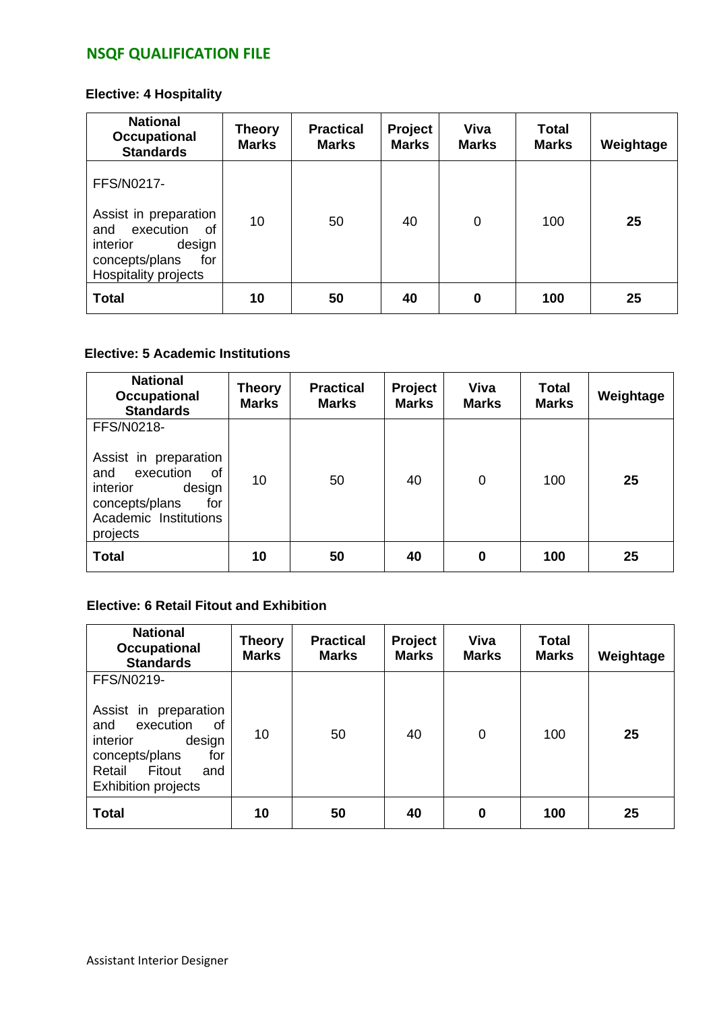### **Elective: 4 Hospitality**

| <b>National</b><br>Occupational<br><b>Standards</b>                                                                                  | <b>Theory</b><br><b>Marks</b> | <b>Practical</b><br><b>Marks</b> | Project<br><b>Marks</b> | <b>Viva</b><br><b>Marks</b> | <b>Total</b><br><b>Marks</b> | Weightage |
|--------------------------------------------------------------------------------------------------------------------------------------|-------------------------------|----------------------------------|-------------------------|-----------------------------|------------------------------|-----------|
| FFS/N0217-<br>Assist in preparation<br>execution<br>and<br>of<br>design<br>interior<br>concepts/plans<br>for<br>Hospitality projects | 10                            | 50                               | 40                      | 0                           | 100                          | 25        |
| <b>Total</b>                                                                                                                         | 10                            | 50                               | 40                      | $\bf{0}$                    | 100                          | 25        |

### **Elective: 5 Academic Institutions**

| <b>National</b><br><b>Occupational</b><br><b>Standards</b>                                                                                        | <b>Theory</b><br><b>Marks</b> | <b>Practical</b><br><b>Marks</b> | Project<br><b>Marks</b> | Viva<br><b>Marks</b> | <b>Total</b><br><b>Marks</b> | Weightage |
|---------------------------------------------------------------------------------------------------------------------------------------------------|-------------------------------|----------------------------------|-------------------------|----------------------|------------------------------|-----------|
| FFS/N0218-<br>Assist in preparation<br>execution<br>0f<br>and<br>interior<br>design<br>concepts/plans<br>for<br>Academic Institutions<br>projects | 10                            | 50                               | 40                      | 0                    | 100                          | 25        |
| <b>Total</b>                                                                                                                                      | 10                            | 50                               | 40                      | 0                    | 100                          | 25        |

#### **Elective: 6 Retail Fitout and Exhibition**

| <b>National</b><br>Occupational<br><b>Standards</b>                                                                                                                          | Theory<br><b>Marks</b> | <b>Practical</b><br><b>Marks</b> | Project<br><b>Marks</b> | Viva<br><b>Marks</b> | <b>Total</b><br><b>Marks</b> | Weightage |
|------------------------------------------------------------------------------------------------------------------------------------------------------------------------------|------------------------|----------------------------------|-------------------------|----------------------|------------------------------|-----------|
| FFS/N0219-<br>Assist in preparation<br>execution<br><b>of</b><br>and<br>design<br>interior<br>concepts/plans<br>for<br>Fitout<br>Retail<br>and<br><b>Exhibition projects</b> | 10                     | 50                               | 40                      | 0                    | 100                          | 25        |
| <b>Total</b>                                                                                                                                                                 | 10                     | 50                               | 40                      | 0                    | 100                          | 25        |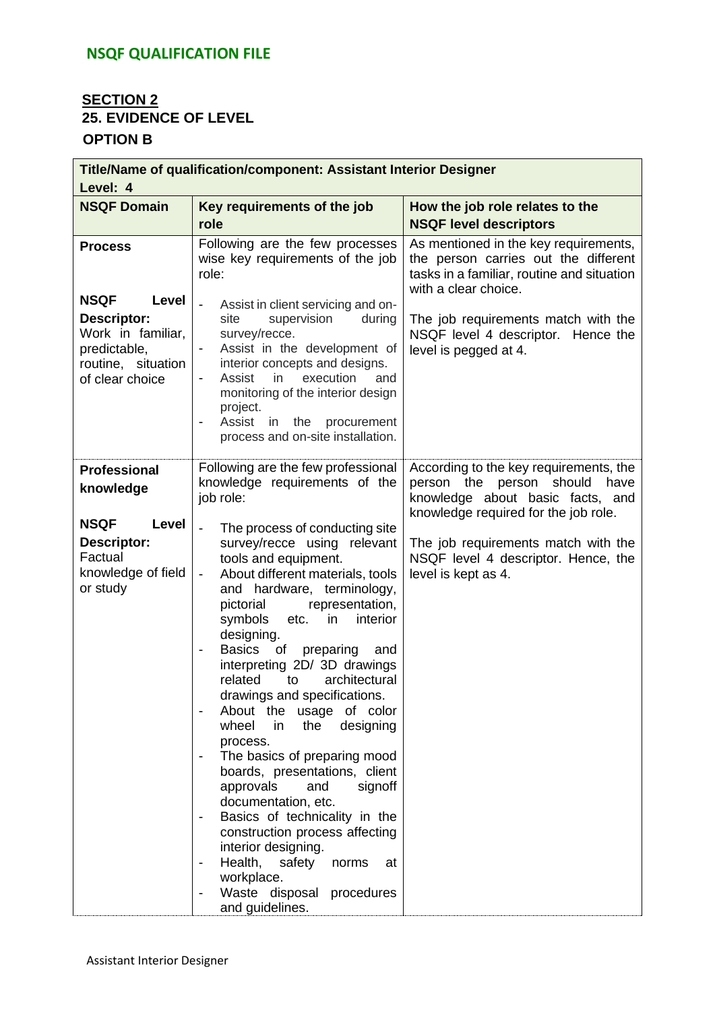### **SECTION 2 25. EVIDENCE OF LEVEL OPTION B**

| Title/Name of qualification/component: Assistant Interior Designer<br>Level: 4                                                             |                                                                                                                                                                                                                                                                                                                                                                                                                                                                                                                                                                                                                                                                                                                                                                                                                                                                                             |                                                                                                                                                                                                                                                             |  |  |  |  |  |
|--------------------------------------------------------------------------------------------------------------------------------------------|---------------------------------------------------------------------------------------------------------------------------------------------------------------------------------------------------------------------------------------------------------------------------------------------------------------------------------------------------------------------------------------------------------------------------------------------------------------------------------------------------------------------------------------------------------------------------------------------------------------------------------------------------------------------------------------------------------------------------------------------------------------------------------------------------------------------------------------------------------------------------------------------|-------------------------------------------------------------------------------------------------------------------------------------------------------------------------------------------------------------------------------------------------------------|--|--|--|--|--|
| <b>NSQF Domain</b>                                                                                                                         | Key requirements of the job<br>role                                                                                                                                                                                                                                                                                                                                                                                                                                                                                                                                                                                                                                                                                                                                                                                                                                                         | How the job role relates to the<br><b>NSQF level descriptors</b>                                                                                                                                                                                            |  |  |  |  |  |
| <b>Process</b><br><b>NSQF</b><br>Level<br><b>Descriptor:</b><br>Work in familiar,<br>predictable,<br>routine, situation<br>of clear choice | Following are the few processes<br>wise key requirements of the job<br>role:<br>Assist in client servicing and on-<br>site<br>supervision<br>during<br>survey/recce.<br>Assist in the development of<br>interior concepts and designs.<br>execution<br>Assist<br>in<br>and<br>$\overline{\phantom{a}}$<br>monitoring of the interior design<br>project.<br>Assist<br>in the<br>procurement<br>$\overline{\phantom{a}}$<br>process and on-site installation.                                                                                                                                                                                                                                                                                                                                                                                                                                 | As mentioned in the key requirements,<br>the person carries out the different<br>tasks in a familiar, routine and situation<br>with a clear choice.<br>The job requirements match with the<br>NSQF level 4 descriptor. Hence the<br>level is pegged at 4.   |  |  |  |  |  |
| <b>Professional</b><br>knowledge<br><b>NSQF</b><br>Level<br>Descriptor:<br>Factual<br>knowledge of field<br>or study                       | Following are the few professional<br>knowledge requirements of the<br>job role:<br>The process of conducting site<br>survey/recce using relevant<br>tools and equipment.<br>About different materials, tools<br>$\overline{\phantom{a}}$<br>and hardware, terminology,<br>representation,<br>pictorial<br>symbols<br>etc.<br>in<br>interior<br>designing.<br>Basics<br>of<br>preparing<br>and<br>interpreting 2D/ 3D drawings<br>related<br>architectural<br>to<br>drawings and specifications.<br>About the usage of color<br>designing<br>wheel<br>in<br>the<br>process.<br>The basics of preparing mood<br>boards, presentations, client<br>approvals<br>and<br>signoff<br>documentation, etc.<br>Basics of technicality in the<br>construction process affecting<br>interior designing.<br>Health, safety<br>norms<br>at<br>workplace.<br>Waste disposal procedures<br>and guidelines. | According to the key requirements, the<br>person the person should<br>have<br>knowledge about basic facts, and<br>knowledge required for the job role.<br>The job requirements match with the<br>NSQF level 4 descriptor. Hence, the<br>level is kept as 4. |  |  |  |  |  |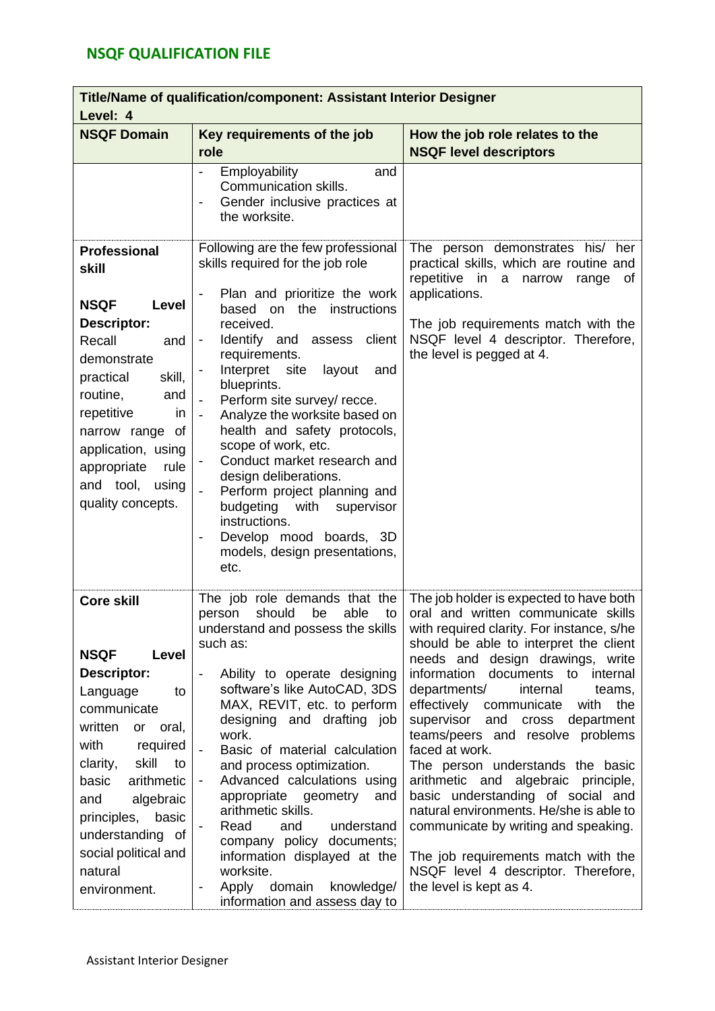| Title/Name of qualification/component: Assistant Interior Designer<br>Level: 4                                                                                                                                                                                                                      |                                                                                                                                                                                                                                                                                                                                                                                                                                                                                                                                                                                                |                                                                                                                                                                                                                                                                                                                                                                                                                                                                                                                                                                                                                                                                                                                   |  |  |  |  |
|-----------------------------------------------------------------------------------------------------------------------------------------------------------------------------------------------------------------------------------------------------------------------------------------------------|------------------------------------------------------------------------------------------------------------------------------------------------------------------------------------------------------------------------------------------------------------------------------------------------------------------------------------------------------------------------------------------------------------------------------------------------------------------------------------------------------------------------------------------------------------------------------------------------|-------------------------------------------------------------------------------------------------------------------------------------------------------------------------------------------------------------------------------------------------------------------------------------------------------------------------------------------------------------------------------------------------------------------------------------------------------------------------------------------------------------------------------------------------------------------------------------------------------------------------------------------------------------------------------------------------------------------|--|--|--|--|
| <b>NSQF Domain</b>                                                                                                                                                                                                                                                                                  | Key requirements of the job<br>role                                                                                                                                                                                                                                                                                                                                                                                                                                                                                                                                                            | How the job role relates to the<br><b>NSQF level descriptors</b>                                                                                                                                                                                                                                                                                                                                                                                                                                                                                                                                                                                                                                                  |  |  |  |  |
|                                                                                                                                                                                                                                                                                                     | Employability<br>and<br>Communication skills.<br>Gender inclusive practices at<br>$\overline{\phantom{a}}$<br>the worksite.                                                                                                                                                                                                                                                                                                                                                                                                                                                                    |                                                                                                                                                                                                                                                                                                                                                                                                                                                                                                                                                                                                                                                                                                                   |  |  |  |  |
| <b>Professional</b><br>skill<br><b>NSQF</b><br>Level<br>Descriptor:<br>Recall<br>and<br>demonstrate<br>practical<br>skill,<br>routine,<br>and<br>repetitive<br>in.<br>narrow range of<br>application, using<br>rule<br>appropriate<br>and tool,<br>using<br>quality concepts.                       | Following are the few professional<br>skills required for the job role<br>Plan and prioritize the work<br>based on the<br>instructions<br>received.<br>Identify and assess<br>client<br>requirements.<br>Interpret<br>site<br>layout<br>and<br>blueprints.<br>Perform site survey/ recce.<br>Analyze the worksite based on<br>health and safety protocols,<br>scope of work, etc.<br>Conduct market research and<br>design deliberations.<br>Perform project planning and<br>budgeting with<br>supervisor<br>instructions.<br>Develop mood boards, 3D<br>models, design presentations,<br>etc. | The person demonstrates his/ her<br>practical skills, which are routine and<br>repetitive in<br>a narrow<br>range<br>0f<br>applications.<br>The job requirements match with the<br>NSQF level 4 descriptor. Therefore,<br>the level is pegged at 4.                                                                                                                                                                                                                                                                                                                                                                                                                                                               |  |  |  |  |
| <b>Core skill</b><br><b>NSQF</b><br>Level<br><b>Descriptor:</b><br>to<br>Language<br>communicate<br>written<br>or<br>oral,<br>with<br>required<br>skill<br>clarity,<br>to<br>arithmetic<br>basic<br>algebraic<br>and<br>principles,<br>basic<br>understanding of<br>social political and<br>natural | The job role demands that the<br>able<br>person<br>should<br>be<br>to<br>understand and possess the skills<br>such as:<br>Ability to operate designing<br>$\overline{\phantom{a}}$<br>software's like AutoCAD, 3DS<br>MAX, REVIT, etc. to perform<br>designing and drafting job<br>work.<br>Basic of material calculation<br>and process optimization.<br>Advanced calculations using<br>appropriate geometry<br>and<br>arithmetic skills.<br>understand<br>Read<br>and<br>company policy documents;<br>information displayed at the<br>worksite.<br>$\overline{\phantom{a}}$                  | The job holder is expected to have both<br>oral and written communicate skills<br>with required clarity. For instance, s/he<br>should be able to interpret the client<br>needs and design drawings, write<br>information documents to internal<br>departments/<br>internal<br>teams,<br>effectively<br>communicate<br>with<br>the<br>supervisor<br>cross department<br>and<br>teams/peers and resolve problems<br>faced at work.<br>The person understands the basic<br>arithmetic and algebraic principle,<br>basic understanding of social and<br>natural environments. He/she is able to<br>communicate by writing and speaking.<br>The job requirements match with the<br>NSQF level 4 descriptor. Therefore, |  |  |  |  |
| environment.                                                                                                                                                                                                                                                                                        | domain<br>Apply<br>knowledge/<br>information and assess day to                                                                                                                                                                                                                                                                                                                                                                                                                                                                                                                                 | the level is kept as 4.                                                                                                                                                                                                                                                                                                                                                                                                                                                                                                                                                                                                                                                                                           |  |  |  |  |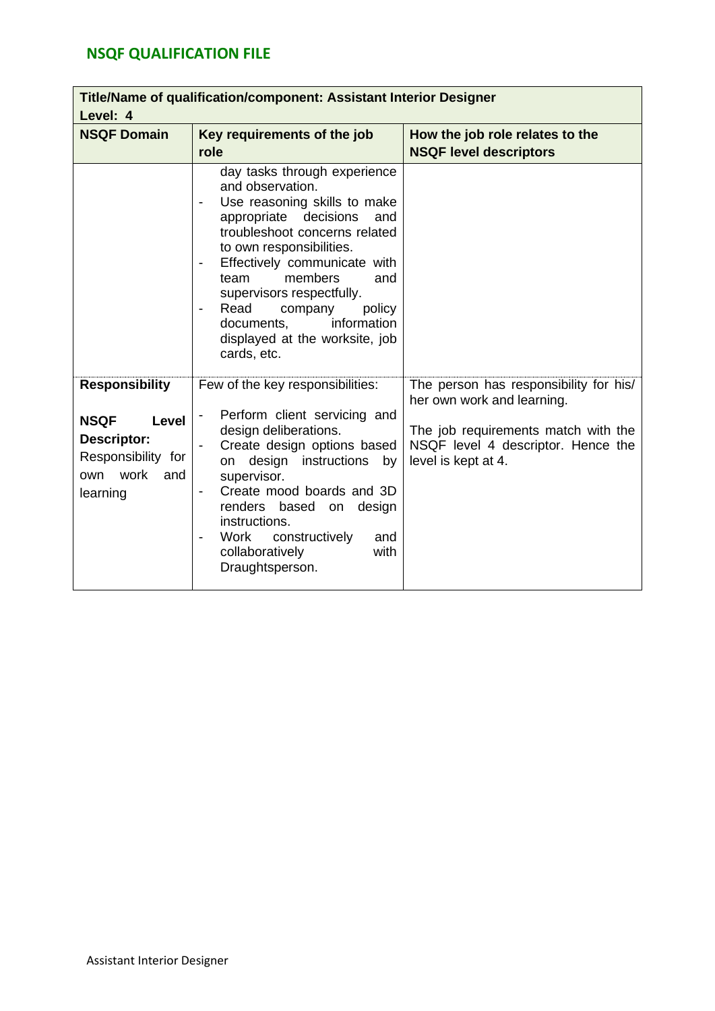| Title/Name of qualification/component: Assistant Interior Designer<br>Level: 4                                           |                                                                                                                                                                                                                                                                                                                                                                                                             |                                                                                                                                                                          |  |  |  |  |  |
|--------------------------------------------------------------------------------------------------------------------------|-------------------------------------------------------------------------------------------------------------------------------------------------------------------------------------------------------------------------------------------------------------------------------------------------------------------------------------------------------------------------------------------------------------|--------------------------------------------------------------------------------------------------------------------------------------------------------------------------|--|--|--|--|--|
| <b>NSQF Domain</b>                                                                                                       | Key requirements of the job<br>role                                                                                                                                                                                                                                                                                                                                                                         | How the job role relates to the<br><b>NSQF level descriptors</b>                                                                                                         |  |  |  |  |  |
|                                                                                                                          | day tasks through experience<br>and observation.<br>Use reasoning skills to make<br>appropriate decisions<br>and<br>troubleshoot concerns related<br>to own responsibilities.<br>Effectively communicate with<br>$\overline{\phantom{a}}$<br>members<br>team<br>and<br>supervisors respectfully.<br>Read<br>company<br>policy<br>information<br>documents,<br>displayed at the worksite, job<br>cards, etc. |                                                                                                                                                                          |  |  |  |  |  |
| <b>Responsibility</b><br><b>NSQF</b><br><b>Level</b><br>Descriptor:<br>Responsibility for<br>own work<br>and<br>learning | Few of the key responsibilities:<br>Perform client servicing and<br>design deliberations.<br>Create design options based<br>on design instructions<br>by<br>supervisor.<br>Create mood boards and 3D<br>renders based<br>design<br>on<br>instructions.<br>constructively<br>Work<br>and<br>collaboratively<br>with<br>Draughtsperson.                                                                       | The person has responsibility for his/<br>her own work and learning.<br>The job requirements match with the<br>NSQF level 4 descriptor. Hence the<br>level is kept at 4. |  |  |  |  |  |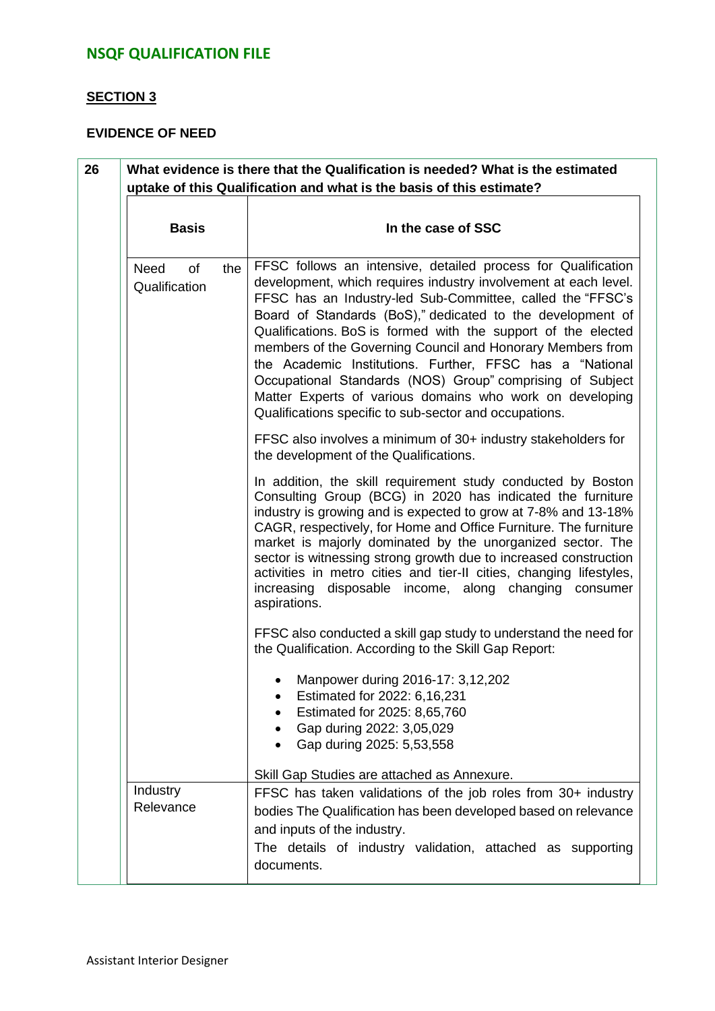### **SECTION 3**

#### **EVIDENCE OF NEED**

| <b>Basis</b>                              |     | In the case of SSC                                                                                                                                                                                                                                                                                                                                                                                                                                                                                                                                                                                                                         |
|-------------------------------------------|-----|--------------------------------------------------------------------------------------------------------------------------------------------------------------------------------------------------------------------------------------------------------------------------------------------------------------------------------------------------------------------------------------------------------------------------------------------------------------------------------------------------------------------------------------------------------------------------------------------------------------------------------------------|
| <b>Need</b><br><b>of</b><br>Qualification | the | FFSC follows an intensive, detailed process for Qualification<br>development, which requires industry involvement at each level.<br>FFSC has an Industry-led Sub-Committee, called the "FFSC's<br>Board of Standards (BoS)," dedicated to the development of<br>Qualifications. BoS is formed with the support of the elected<br>members of the Governing Council and Honorary Members from<br>the Academic Institutions. Further, FFSC has a "National<br>Occupational Standards (NOS) Group" comprising of Subject<br>Matter Experts of various domains who work on developing<br>Qualifications specific to sub-sector and occupations. |
|                                           |     | FFSC also involves a minimum of 30+ industry stakeholders for<br>the development of the Qualifications.                                                                                                                                                                                                                                                                                                                                                                                                                                                                                                                                    |
|                                           |     | In addition, the skill requirement study conducted by Boston<br>Consulting Group (BCG) in 2020 has indicated the furniture<br>industry is growing and is expected to grow at 7-8% and 13-18%<br>CAGR, respectively, for Home and Office Furniture. The furniture<br>market is majorly dominated by the unorganized sector. The<br>sector is witnessing strong growth due to increased construction<br>activities in metro cities and tier-II cities, changing lifestyles,<br>increasing disposable income, along changing consumer<br>aspirations.                                                                                         |
|                                           |     | FFSC also conducted a skill gap study to understand the need for<br>the Qualification. According to the Skill Gap Report:                                                                                                                                                                                                                                                                                                                                                                                                                                                                                                                  |
|                                           |     | Manpower during 2016-17: 3,12,202<br>Estimated for 2022: 6,16,231<br>Estimated for 2025: 8,65,760<br>Gap during 2022: 3,05,029<br>Gap during 2025: 5,53,558                                                                                                                                                                                                                                                                                                                                                                                                                                                                                |
| Industry                                  |     | Skill Gap Studies are attached as Annexure.<br>FFSC has taken validations of the job roles from 30+ industry                                                                                                                                                                                                                                                                                                                                                                                                                                                                                                                               |
| Relevance                                 |     | bodies The Qualification has been developed based on relevance<br>and inputs of the industry.<br>The details of industry validation, attached as supporting<br>documents.                                                                                                                                                                                                                                                                                                                                                                                                                                                                  |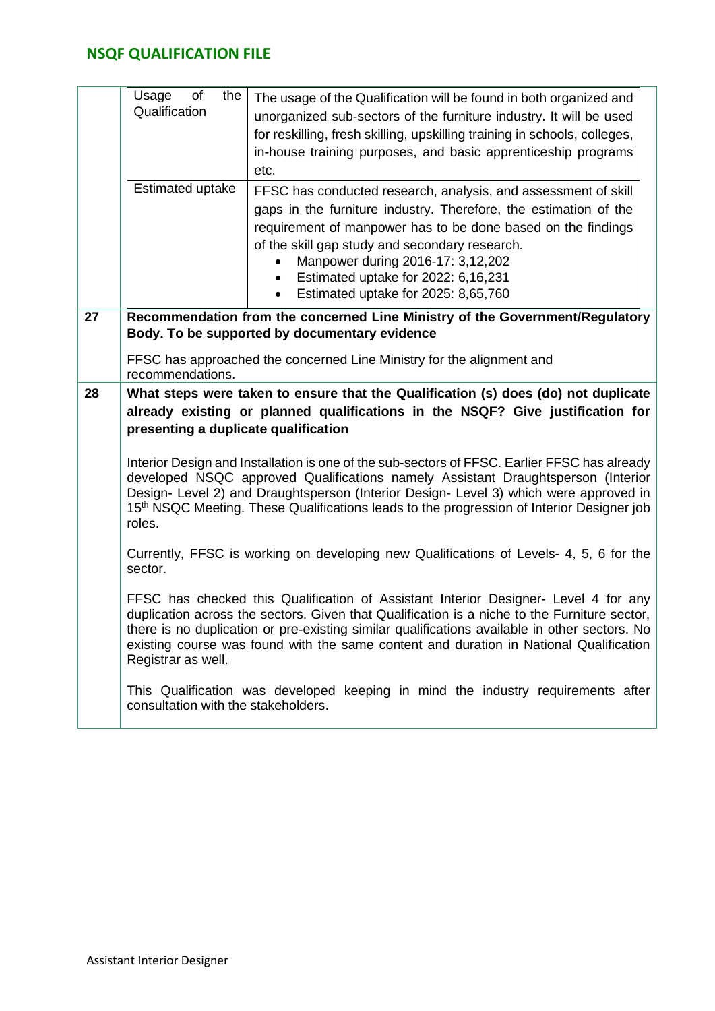|    | the<br>of<br>Usage<br>Qualification                                                                                                                                                                                                                                                                                                                                                                  | The usage of the Qualification will be found in both organized and<br>unorganized sub-sectors of the furniture industry. It will be used<br>for reskilling, fresh skilling, upskilling training in schools, colleges,<br>in-house training purposes, and basic apprenticeship programs<br>etc.                                                                                                    |  |  |  |  |  |
|----|------------------------------------------------------------------------------------------------------------------------------------------------------------------------------------------------------------------------------------------------------------------------------------------------------------------------------------------------------------------------------------------------------|---------------------------------------------------------------------------------------------------------------------------------------------------------------------------------------------------------------------------------------------------------------------------------------------------------------------------------------------------------------------------------------------------|--|--|--|--|--|
|    | Estimated uptake                                                                                                                                                                                                                                                                                                                                                                                     | FFSC has conducted research, analysis, and assessment of skill<br>gaps in the furniture industry. Therefore, the estimation of the<br>requirement of manpower has to be done based on the findings<br>of the skill gap study and secondary research.<br>Manpower during 2016-17: 3,12,202<br>Estimated uptake for 2022: 6,16,231<br>$\bullet$<br>Estimated uptake for 2025: 8,65,760<br>$\bullet$ |  |  |  |  |  |
| 27 | Recommendation from the concerned Line Ministry of the Government/Regulatory<br>Body. To be supported by documentary evidence<br>FFSC has approached the concerned Line Ministry for the alignment and                                                                                                                                                                                               |                                                                                                                                                                                                                                                                                                                                                                                                   |  |  |  |  |  |
|    | recommendations.                                                                                                                                                                                                                                                                                                                                                                                     |                                                                                                                                                                                                                                                                                                                                                                                                   |  |  |  |  |  |
| 28 | presenting a duplicate qualification                                                                                                                                                                                                                                                                                                                                                                 | What steps were taken to ensure that the Qualification (s) does (do) not duplicate<br>already existing or planned qualifications in the NSQF? Give justification for                                                                                                                                                                                                                              |  |  |  |  |  |
|    | Interior Design and Installation is one of the sub-sectors of FFSC. Earlier FFSC has already<br>developed NSQC approved Qualifications namely Assistant Draughtsperson (Interior<br>Design- Level 2) and Draughtsperson (Interior Design- Level 3) which were approved in<br>15 <sup>th</sup> NSQC Meeting. These Qualifications leads to the progression of Interior Designer job<br>roles.         |                                                                                                                                                                                                                                                                                                                                                                                                   |  |  |  |  |  |
|    | Currently, FFSC is working on developing new Qualifications of Levels- 4, 5, 6 for the<br>sector.                                                                                                                                                                                                                                                                                                    |                                                                                                                                                                                                                                                                                                                                                                                                   |  |  |  |  |  |
|    | FFSC has checked this Qualification of Assistant Interior Designer- Level 4 for any<br>duplication across the sectors. Given that Qualification is a niche to the Furniture sector,<br>there is no duplication or pre-existing similar qualifications available in other sectors. No<br>existing course was found with the same content and duration in National Qualification<br>Registrar as well. |                                                                                                                                                                                                                                                                                                                                                                                                   |  |  |  |  |  |
|    | consultation with the stakeholders.                                                                                                                                                                                                                                                                                                                                                                  | This Qualification was developed keeping in mind the industry requirements after                                                                                                                                                                                                                                                                                                                  |  |  |  |  |  |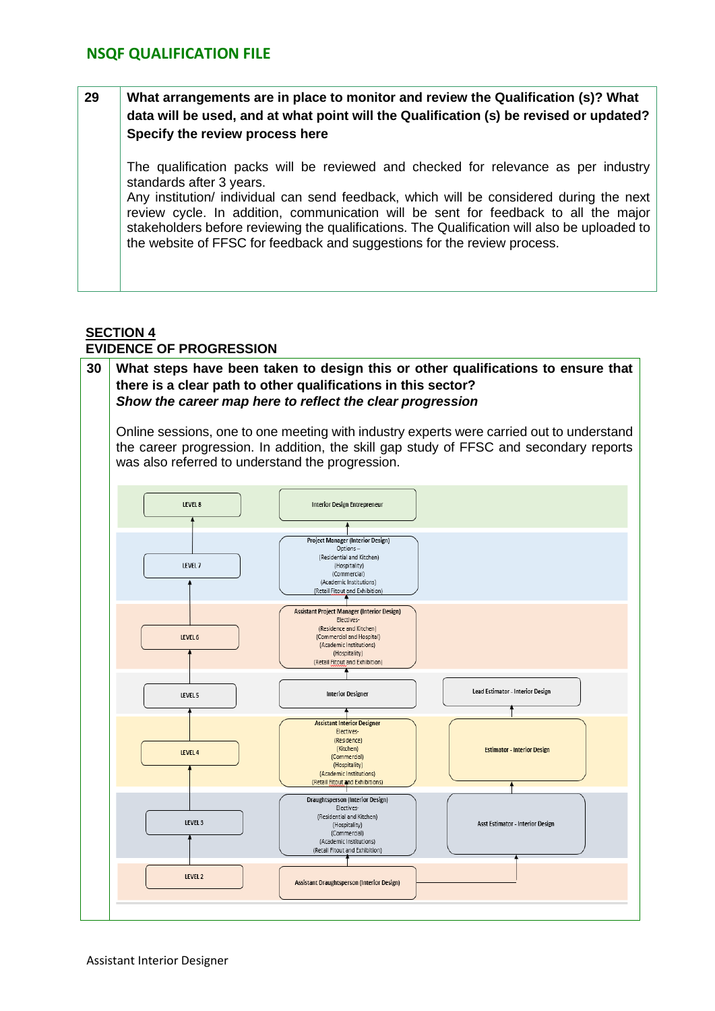### **29 What arrangements are in place to monitor and review the Qualification (s)? What data will be used, and at what point will the Qualification (s) be revised or updated? Specify the review process here**

The qualification packs will be reviewed and checked for relevance as per industry standards after 3 years.

Any institution/ individual can send feedback, which will be considered during the next review cycle. In addition, communication will be sent for feedback to all the major stakeholders before reviewing the qualifications. The Qualification will also be uploaded to the website of FFSC for feedback and suggestions for the review process.

# **SECTION 4**

### **EVIDENCE OF PROGRESSION**